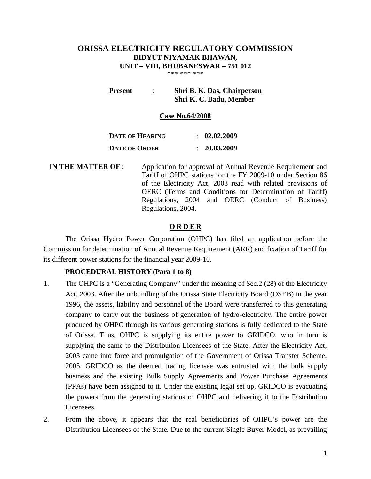# **ORISSA ELECTRICITY REGULATORY COMMISSION BIDYUT NIYAMAK BHAWAN, UNIT – VIII, BHUBANESWAR – 751 012**

\*\*\* \*\*\* \*\*\*

**Present** : **Shri B. K. Das, Chairperson Shri K. C. Badu, Member**

#### **Case No.64/2008**

| <b>DATE OF HEARING</b> | $\therefore$ 02.02.2009 |
|------------------------|-------------------------|
| <b>DATE OF ORDER</b>   | : 20.03.2009            |

**IN THE MATTER OF** : Application for approval of Annual Revenue Requirement and Tariff of OHPC stations for the FY 2009-10 under Section 86 of the Electricity Act, 2003 read with related provisions of OERC (Terms and Conditions for Determination of Tariff) Regulations, 2004 and OERC (Conduct of Business) Regulations, 2004.

#### **O R D E R**

The Orissa Hydro Power Corporation (OHPC) has filed an application before the Commission for determination of Annual Revenue Requirement (ARR) and fixation of Tariff for its different power stations for the financial year 2009-10.

#### **PROCEDURAL HISTORY (Para 1 to 8)**

- 1. The OHPC is a "Generating Company" under the meaning of Sec.2 (28) of the Electricity Act, 2003. After the unbundling of the Orissa State Electricity Board (OSEB) in the year 1996, the assets, liability and personnel of the Board were transferred to this generating company to carry out the business of generation of hydro-electricity. The entire power produced by OHPC through its various generating stations is fully dedicated to the State of Orissa. Thus, OHPC is supplying its entire power to GRIDCO, who in turn is supplying the same to the Distribution Licensees of the State. After the Electricity Act, 2003 came into force and promulgation of the Government of Orissa Transfer Scheme, 2005, GRIDCO as the deemed trading licensee was entrusted with the bulk supply business and the existing Bulk Supply Agreements and Power Purchase Agreements (PPAs) have been assigned to it. Under the existing legal set up, GRIDCO is evacuating the powers from the generating stations of OHPC and delivering it to the Distribution Licensees.
- 2. From the above, it appears that the real beneficiaries of OHPC's power are the Distribution Licensees of the State. Due to the current Single Buyer Model, as prevailing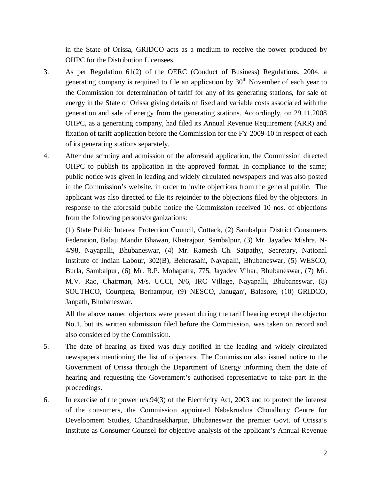in the State of Orissa, GRIDCO acts as a medium to receive the power produced by OHPC for the Distribution Licensees.

- 3. As per Regulation 61(2) of the OERC (Conduct of Business) Regulations, 2004, a generating company is required to file an application by  $30<sup>th</sup>$  November of each year to the Commission for determination of tariff for any of its generating stations, for sale of energy in the State of Orissa giving details of fixed and variable costs associated with the generation and sale of energy from the generating stations. Accordingly, on 29.11.2008 OHPC, as a generating company, had filed its Annual Revenue Requirement (ARR) and fixation of tariff application before the Commission for the FY 2009-10 in respect of each of its generating stations separately.
- 4. After due scrutiny and admission of the aforesaid application, the Commission directed OHPC to publish its application in the approved format. In compliance to the same; public notice was given in leading and widely circulated newspapers and was also posted in the Commission's website, in order to invite objections from the general public. The applicant was also directed to file its rejoinder to the objections filed by the objectors. In response to the aforesaid public notice the Commission received 10 nos. of objections from the following persons/organizations:

(1) State Public Interest Protection Council, Cuttack, (2) Sambalpur District Consumers Federation, Balaji Mandir Bhawan, Khetrajpur, Sambalpur, (3) Mr. Jayadev Mishra, N-4/98, Nayapalli, Bhubaneswar, (4) Mr. Ramesh Ch. Satpathy, Secretary, National Institute of Indian Labour, 302(B), Beherasahi, Nayapalli, Bhubaneswar, (5) WESCO, Burla, Sambalpur, (6) Mr. R.P. Mohapatra, 775, Jayadev Vihar, Bhubaneswar, (7) Mr. M.V. Rao, Chairman, M/s. UCCI, N/6, IRC Village, Nayapalli, Bhubaneswar, (8) SOUTHCO, Courtpeta, Berhampur, (9) NESCO, Januganj, Balasore, (10) GRIDCO, Janpath, Bhubaneswar.

All the above named objectors were present during the tariff hearing except the objector No.1, but its written submission filed before the Commission, was taken on record and also considered by the Commission.

- 5. The date of hearing as fixed was duly notified in the leading and widely circulated newspapers mentioning the list of objectors. The Commission also issued notice to the Government of Orissa through the Department of Energy informing them the date of hearing and requesting the Government's authorised representative to take part in the proceedings.
- 6. In exercise of the power u/s.94(3) of the Electricity Act, 2003 and to protect the interest of the consumers, the Commission appointed Nabakrushna Choudhury Centre for Development Studies, Chandrasekharpur, Bhubaneswar the premier Govt. of Orissa's Institute as Consumer Counsel for objective analysis of the applicant's Annual Revenue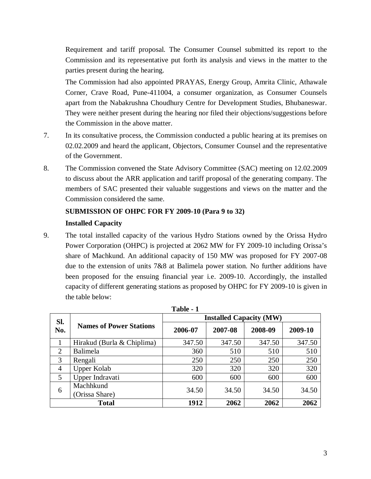Requirement and tariff proposal. The Consumer Counsel submitted its report to the Commission and its representative put forth its analysis and views in the matter to the parties present during the hearing.

The Commission had also appointed PRAYAS, Energy Group, Amrita Clinic, Athawale Corner, Crave Road, Pune-411004, a consumer organization, as Consumer Counsels apart from the Nabakrushna Choudhury Centre for Development Studies, Bhubaneswar. They were neither present during the hearing nor filed their objections/suggestions before the Commission in the above matter.

- 7. In its consultative process, the Commission conducted a public hearing at its premises on 02.02.2009 and heard the applicant, Objectors, Consumer Counsel and the representative of the Government.
- 8. The Commission convened the State Advisory Committee (SAC) meeting on 12.02.2009 to discuss about the ARR application and tariff proposal of the generating company. The members of SAC presented their valuable suggestions and views on the matter and the Commission considered the same.

## **SUBMISSION OF OHPC FOR FY 2009-10 (Para 9 to 32)**

### **Installed Capacity**

9. The total installed capacity of the various Hydro Stations owned by the Orissa Hydro Power Corporation (OHPC) is projected at 2062 MW for FY 2009-10 including Orissa's share of Machkund. An additional capacity of 150 MW was proposed for FY 2007-08 due to the extension of units 7&8 at Balimela power station. No further additions have been proposed for the ensuing financial year i.e. 2009-10. Accordingly, the installed capacity of different generating stations as proposed by OHPC for FY 2009-10 is given in the table below:

| Sl.            |                                | <b>Installed Capacity (MW)</b> |         |         |         |  |  |
|----------------|--------------------------------|--------------------------------|---------|---------|---------|--|--|
| No.            | <b>Names of Power Stations</b> | 2006-07                        | 2007-08 | 2008-09 | 2009-10 |  |  |
|                | Hirakud (Burla & Chiplima)     | 347.50                         | 347.50  | 347.50  | 347.50  |  |  |
| 2              | <b>Balimela</b>                | 360                            | 510     | 510     | 510     |  |  |
| 3              | Rengali                        | 250                            | 250     | 250     | 250     |  |  |
| $\overline{4}$ | Upper Kolab                    | 320                            | 320     | 320     | 320     |  |  |
| 5              | Upper Indravati                | 600                            | 600     | 600     | 600     |  |  |
| 6              | Machhkund<br>(Orissa Share)    | 34.50                          | 34.50   | 34.50   | 34.50   |  |  |
|                | <b>Total</b>                   | 1912                           | 2062    | 2062    | 2062    |  |  |

| ı<br>anı<br>., |  |
|----------------|--|
|----------------|--|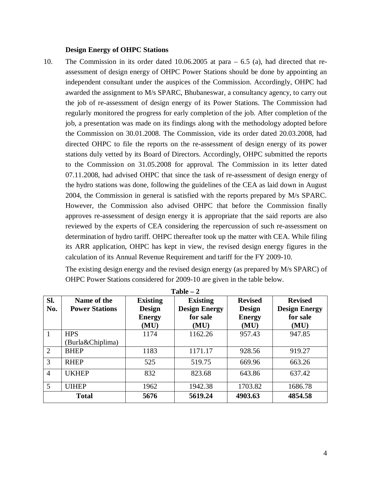#### **Design Energy of OHPC Stations**

10. The Commission in its order dated 10.06.2005 at para – 6.5 (a), had directed that reassessment of design energy of OHPC Power Stations should be done by appointing an independent consultant under the auspices of the Commission. Accordingly, OHPC had awarded the assignment to M/s SPARC, Bhubaneswar, a consultancy agency, to carry out the job of re-assessment of design energy of its Power Stations. The Commission had regularly monitored the progress for early completion of the job. After completion of the job, a presentation was made on its findings along with the methodology adopted before the Commission on 30.01.2008. The Commission, vide its order dated 20.03.2008, had directed OHPC to file the reports on the re-assessment of design energy of its power stations duly vetted by its Board of Directors. Accordingly, OHPC submitted the reports to the Commission on 31.05.2008 for approval. The Commission in its letter dated 07.11.2008, had advised OHPC that since the task of re-assessment of design energy of the hydro stations was done, following the guidelines of the CEA as laid down in August 2004, the Commission in general is satisfied with the reports prepared by M/s SPARC. However, the Commission also advised OHPC that before the Commission finally approves re-assessment of design energy it is appropriate that the said reports are also reviewed by the experts of CEA considering the repercussion of such re-assessment on determination of hydro tariff. OHPC thereafter took up the matter with CEA. While filing its ARR application, OHPC has kept in view, the revised design energy figures in the calculation of its Annual Revenue Requirement and tariff for the FY 2009-10.

The existing design energy and the revised design energy (as prepared by M/s SPARC) of OHPC Power Stations considered for 2009-10 are given in the table below.

|                | $1$ avit $-$ 4        |                 |                      |                |                      |  |  |  |  |
|----------------|-----------------------|-----------------|----------------------|----------------|----------------------|--|--|--|--|
| SI.            | Name of the           | <b>Existing</b> | <b>Existing</b>      | <b>Revised</b> | <b>Revised</b>       |  |  |  |  |
| No.            | <b>Power Stations</b> | <b>Design</b>   | <b>Design Energy</b> | <b>Design</b>  | <b>Design Energy</b> |  |  |  |  |
|                |                       | <b>Energy</b>   | for sale             | <b>Energy</b>  | for sale             |  |  |  |  |
|                |                       | (MU)            | (MU)                 | (MU)           | (MU)                 |  |  |  |  |
| $\mathbf{1}$   | <b>HPS</b>            | 1174            | 1162.26              | 957.43         | 947.85               |  |  |  |  |
|                | (Burla&Chiplima)      |                 |                      |                |                      |  |  |  |  |
| $\overline{2}$ | <b>BHEP</b>           | 1183            | 1171.17              | 928.56         | 919.27               |  |  |  |  |
| 3              | <b>RHEP</b>           | 525             | 519.75               | 669.96         | 663.26               |  |  |  |  |
| $\overline{4}$ | <b>UKHEP</b>          | 832             | 823.68               | 643.86         | 637.42               |  |  |  |  |
| 5              | <b>UIHEP</b>          | 1962            | 1942.38              | 1703.82        | 1686.78              |  |  |  |  |
|                | <b>Total</b>          | 5676            | 5619.24              | 4903.63        | 4854.58              |  |  |  |  |

**Table – 2**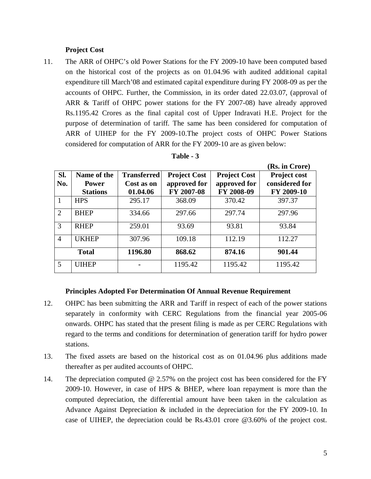## **Project Cost**

11. The ARR of OHPC's old Power Stations for the FY 2009-10 have been computed based on the historical cost of the projects as on 01.04.96 with audited additional capital expenditure till March'08 and estimated capital expenditure during FY 2008-09 as per the accounts of OHPC. Further, the Commission, in its order dated 22.03.07, (approval of ARR & Tariff of OHPC power stations for the FY 2007-08) have already approved Rs.1195.42 Crores as the final capital cost of Upper Indravati H.E. Project for the purpose of determination of tariff. The same has been considered for computation of ARR of UIHEP for the FY 2009-10.The project costs of OHPC Power Stations considered for computation of ARR for the FY 2009-10 are as given below:

|                |                             |                                  |                                     |                                     | <b>NS. III UTOTE</b>           |
|----------------|-----------------------------|----------------------------------|-------------------------------------|-------------------------------------|--------------------------------|
| Sl.<br>No.     | Name of the<br><b>Power</b> | <b>Transferred</b><br>Cost as on | <b>Project Cost</b><br>approved for | <b>Project Cost</b><br>approved for | Project cost<br>considered for |
|                | <b>Stations</b>             | 01.04.06                         | FY 2007-08                          | FY 2008-09                          | FY 2009-10                     |
| $\overline{1}$ | <b>HPS</b>                  | 295.17                           | 368.09                              | 370.42                              | 397.37                         |
| 2              | <b>BHEP</b>                 | 334.66                           | 297.66                              | 297.74                              | 297.96                         |
| 3              | <b>RHEP</b>                 | 259.01                           | 93.69                               | 93.81                               | 93.84                          |
| $\overline{4}$ | <b>UKHEP</b>                | 307.96                           | 109.18                              | 112.19                              | 112.27                         |
|                | <b>Total</b>                | 1196.80                          | 868.62                              | 874.16                              | 901.44                         |
| $\overline{5}$ | <b>UIHEP</b>                |                                  | 1195.42                             | 1195.42                             | 1195.42                        |

| Table |  |
|-------|--|
|-------|--|

#### **Principles Adopted For Determination Of Annual Revenue Requirement**

- 12. OHPC has been submitting the ARR and Tariff in respect of each of the power stations separately in conformity with CERC Regulations from the financial year 2005-06 onwards. OHPC has stated that the present filing is made as per CERC Regulations with regard to the terms and conditions for determination of generation tariff for hydro power stations.
- 13. The fixed assets are based on the historical cost as on 01.04.96 plus additions made thereafter as per audited accounts of OHPC.
- 14. The depreciation computed @ 2.57% on the project cost has been considered for the FY 2009-10. However, in case of HPS & BHEP, where loan repayment is more than the computed depreciation, the differential amount have been taken in the calculation as Advance Against Depreciation & included in the depreciation for the FY 2009-10. In case of UIHEP, the depreciation could be Rs.43.01 crore @3.60% of the project cost.

 $(\mathbf{D}_\alpha)$  in  $(\mathbf{C}_{\text{mean}})$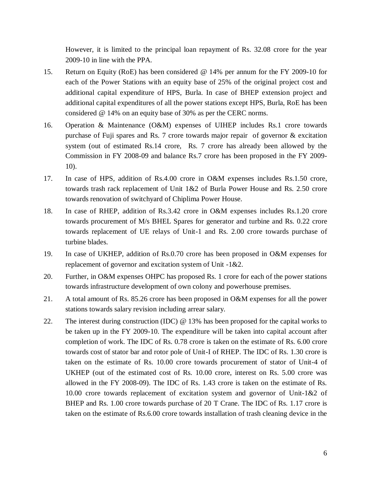However, it is limited to the principal loan repayment of Rs. 32.08 crore for the year 2009-10 in line with the PPA.

- 15. Return on Equity (RoE) has been considered @ 14% per annum for the FY 2009-10 for each of the Power Stations with an equity base of 25% of the original project cost and additional capital expenditure of HPS, Burla. In case of BHEP extension project and additional capital expenditures of all the power stations except HPS, Burla, RoE has been considered @ 14% on an equity base of 30% as per the CERC norms.
- 16. Operation & Maintenance (O&M) expenses of UIHEP includes Rs.1 crore towards purchase of Fuji spares and Rs. 7 crore towards major repair of governor & excitation system (out of estimated Rs.14 crore, Rs. 7 crore has already been allowed by the Commission in FY 2008-09 and balance Rs.7 crore has been proposed in the FY 2009- 10).
- 17. In case of HPS, addition of Rs.4.00 crore in O&M expenses includes Rs.1.50 crore, towards trash rack replacement of Unit 1&2 of Burla Power House and Rs. 2.50 crore towards renovation of switchyard of Chiplima Power House.
- 18. In case of RHEP, addition of Rs.3.42 crore in O&M expenses includes Rs.1.20 crore towards procurement of M/s BHEL Spares for generator and turbine and Rs. 0.22 crore towards replacement of UE relays of Unit-1 and Rs. 2.00 crore towards purchase of turbine blades.
- 19. In case of UKHEP, addition of Rs.0.70 crore has been proposed in O&M expenses for replacement of governor and excitation system of Unit -1&2.
- 20. Further, in O&M expenses OHPC has proposed Rs. 1 crore for each of the power stations towards infrastructure development of own colony and powerhouse premises.
- 21. A total amount of Rs. 85.26 crore has been proposed in O&M expenses for all the power stations towards salary revision including arrear salary.
- 22. The interest during construction (IDC) @ 13% has been proposed for the capital works to be taken up in the FY 2009-10. The expenditure will be taken into capital account after completion of work. The IDC of Rs. 0.78 crore is taken on the estimate of Rs. 6.00 crore towards cost of stator bar and rotor pole of Unit-I of RHEP. The IDC of Rs. 1.30 crore is taken on the estimate of Rs. 10.00 crore towards procurement of stator of Unit-4 of UKHEP (out of the estimated cost of Rs. 10.00 crore, interest on Rs. 5.00 crore was allowed in the FY 2008-09). The IDC of Rs. 1.43 crore is taken on the estimate of Rs. 10.00 crore towards replacement of excitation system and governor of Unit-1&2 of BHEP and Rs. 1.00 crore towards purchase of 20 T Crane. The IDC of Rs. 1.17 crore is taken on the estimate of Rs.6.00 crore towards installation of trash cleaning device in the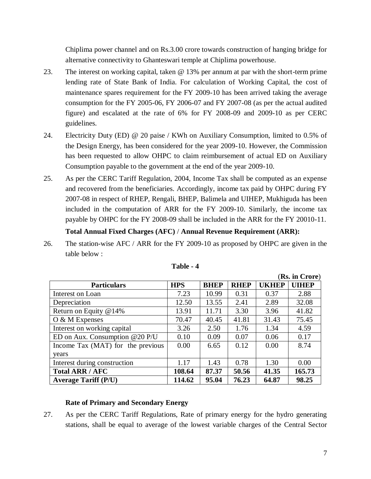Chiplima power channel and on Rs.3.00 crore towards construction of hanging bridge for alternative connectivity to Ghanteswari temple at Chiplima powerhouse.

- 23. The interest on working capital, taken @ 13% per annum at par with the short-term prime lending rate of State Bank of India. For calculation of Working Capital, the cost of maintenance spares requirement for the FY 2009-10 has been arrived taking the average consumption for the FY 2005-06, FY 2006-07 and FY 2007-08 (as per the actual audited figure) and escalated at the rate of 6% for FY 2008-09 and 2009-10 as per CERC guidelines.
- 24. Electricity Duty (ED) @ 20 paise / KWh on Auxiliary Consumption, limited to 0.5% of the Design Energy, has been considered for the year 2009-10. However, the Commission has been requested to allow OHPC to claim reimbursement of actual ED on Auxiliary Consumption payable to the government at the end of the year 2009-10.
- 25. As per the CERC Tariff Regulation, 2004, Income Tax shall be computed as an expense and recovered from the beneficiaries. Accordingly, income tax paid by OHPC during FY 2007-08 in respect of RHEP, Rengali, BHEP, Balimela and UIHEP, Mukhiguda has been included in the computation of ARR for the FY 2009-10. Similarly, the income tax payable by OHPC for the FY 2008-09 shall be included in the ARR for the FY 20010-11.

## **Total Annual Fixed Charges (AFC)** / **Annual Revenue Requirement (ARR):**

26. The station-wise AFC / ARR for the FY 2009-10 as proposed by OHPC are given in the table below :

|                                   |            |             |             |              | (Rs. in Crore) |
|-----------------------------------|------------|-------------|-------------|--------------|----------------|
| <b>Particulars</b>                | <b>HPS</b> | <b>BHEP</b> | <b>RHEP</b> | <b>UKHEP</b> | <b>UIHEP</b>   |
| Interest on Loan                  | 7.23       | 10.99       | 0.31        | 0.37         | 2.88           |
| Depreciation                      | 12.50      | 13.55       | 2.41        | 2.89         | 32.08          |
| Return on Equity $@14\%$          | 13.91      | 11.71       | 3.30        | 3.96         | 41.82          |
| $O & M$ Expenses                  | 70.47      | 40.45       | 41.81       | 31.43        | 75.45          |
| Interest on working capital       | 3.26       | 2.50        | 1.76        | 1.34         | 4.59           |
| ED on Aux. Consumption @20 P/U    | 0.10       | 0.09        | 0.07        | 0.06         | 0.17           |
| Income Tax (MAT) for the previous | 0.00       | 6.65        | 0.12        | 0.00         | 8.74           |
| years                             |            |             |             |              |                |
| Interest during construction      | 1.17       | 1.43        | 0.78        | 1.30         | 0.00           |
| <b>Total ARR / AFC</b>            | 108.64     | 87.37       | 50.56       | 41.35        | 165.73         |
| <b>Average Tariff (P/U)</b>       | 114.62     | 95.04       | 76.23       | 64.87        | 98.25          |

| l'able |  |  |
|--------|--|--|
|--------|--|--|

### **Rate of Primary and Secondary Energy**

27. As per the CERC Tariff Regulations, Rate of primary energy for the hydro generating stations, shall be equal to average of the lowest variable charges of the Central Sector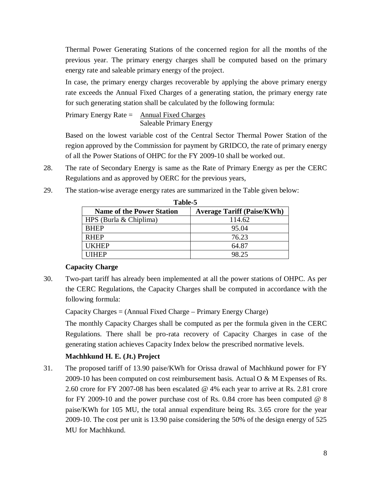Thermal Power Generating Stations of the concerned region for all the months of the previous year. The primary energy charges shall be computed based on the primary energy rate and saleable primary energy of the project.

In case, the primary energy charges recoverable by applying the above primary energy rate exceeds the Annual Fixed Charges of a generating station, the primary energy rate for such generating station shall be calculated by the following formula:

Primary Energy Rate  $=$  Annual Fixed Charges Saleable Primary Energy

Based on the lowest variable cost of the Central Sector Thermal Power Station of the region approved by the Commission for payment by GRIDCO, the rate of primary energy of all the Power Stations of OHPC for the FY 2009-10 shall be worked out.

- 28. The rate of Secondary Energy is same as the Rate of Primary Energy as per the CERC Regulations and as approved by OERC for the previous years,
	- **Table-5** Name of the Power Station | Average Tariff (Paise/KWh) HPS (Burla & Chiplima)  $114.62$ BHEP 95.04 RHEP 26.23 UKHEP  $64.87$ UIHEP 98.25
- 29. The station-wise average energy rates are summarized in the Table given below:

### **Capacity Charge**

30. Two-part tariff has already been implemented at all the power stations of OHPC. As per the CERC Regulations, the Capacity Charges shall be computed in accordance with the following formula:

Capacity Charges = (Annual Fixed Charge – Primary Energy Charge)

The monthly Capacity Charges shall be computed as per the formula given in the CERC Regulations. There shall be pro-rata recovery of Capacity Charges in case of the generating station achieves Capacity Index below the prescribed normative levels.

# **Machhkund H. E. (Jt.) Project**

31. The proposed tariff of 13.90 paise/KWh for Orissa drawal of Machhkund power for FY 2009-10 has been computed on cost reimbursement basis. Actual O & M Expenses of Rs. 2.60 crore for FY 2007-08 has been escalated @ 4% each year to arrive at Rs. 2.81 crore for FY 2009-10 and the power purchase cost of Rs. 0.84 crore has been computed  $@ 8$ paise/KWh for 105 MU, the total annual expenditure being Rs. 3.65 crore for the year 2009-10. The cost per unit is 13.90 paise considering the 50% of the design energy of 525 MU for Machhkund.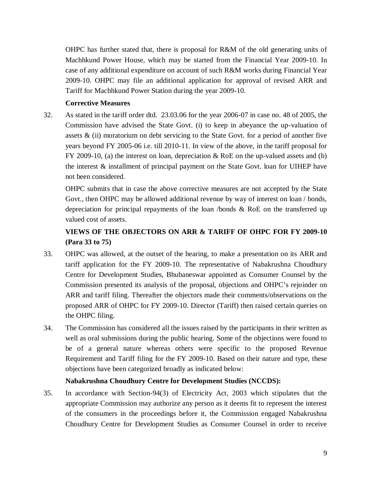OHPC has further stated that, there is proposal for R&M of the old generating units of Machhkund Power House, which may be started from the Financial Year 2009-10. In case of any additional expenditure on account of such R&M works during Financial Year 2009-10. OHPC may file an additional application for approval of revised ARR and Tariff for Machhkund Power Station during the year 2009-10.

### **Corrective Measures**

32. As stated in the tariff order dtd. 23.03.06 for the year 2006-07 in case no. 48 of 2005, the Commission have advised the State Govt. (i) to keep in abeyance the up-valuation of assets  $\&$  (ii) moratorium on debt servicing to the State Govt. for a period of another five years beyond FY 2005-06 i.e. till 2010-11. In view of the above, in the tariff proposal for FY 2009-10, (a) the interest on loan, depreciation & RoE on the up-valued assets and (b) the interest & installment of principal payment on the State Govt. loan for UIHEP have not been considered.

OHPC submits that in case the above corrective measures are not accepted by the State Govt., then OHPC may be allowed additional revenue by way of interest on loan / bonds, depreciation for principal repayments of the loan /bonds & RoE on the transferred up valued cost of assets.

# **VIEWS OF THE OBJECTORS ON ARR & TARIFF OF OHPC FOR FY 2009-10 (Para 33 to 75)**

- 33. OHPC was allowed, at the outset of the hearing, to make a presentation on its ARR and tariff application for the FY 2009-10. The representative of Nabakrushna Choudhury Centre for Development Studies, Bhubaneswar appointed as Consumer Counsel by the Commission presented its analysis of the proposal, objections and OHPC's rejoinder on ARR and tariff filing. Thereafter the objectors made their comments/observations on the proposed ARR of OHPC for FY 2009-10. Director (Tariff) then raised certain queries on the OHPC filing.
- 34. The Commission has considered all the issues raised by the participants in their written as well as oral submissions during the public hearing. Some of the objections were found to be of a general nature whereas others were specific to the proposed Revenue Requirement and Tariff filing for the FY 2009-10. Based on their nature and type, these objections have been categorized broadly as indicated below:

## **Nabakrushna Choudhury Centre for Development Studies (NCCDS):**

35. In accordance with Section-94(3) of Electricity Act, 2003 which stipulates that the appropriate Commission may authorize any person as it deems fit to represent the interest of the consumers in the proceedings before it, the Commission engaged Nabakrushna Choudhury Centre for Development Studies as Consumer Counsel in order to receive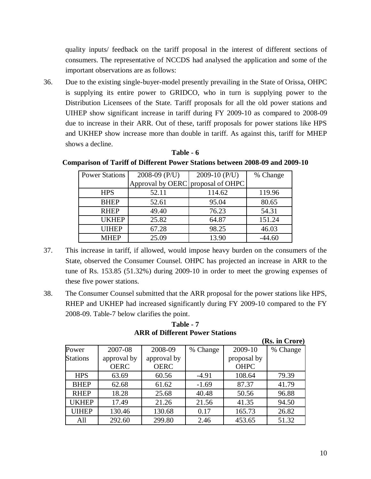quality inputs/ feedback on the tariff proposal in the interest of different sections of consumers. The representative of NCCDS had analysed the application and some of the important observations are as follows:

36. Due to the existing single-buyer-model presently prevailing in the State of Orissa, OHPC is supplying its entire power to GRIDCO, who in turn is supplying power to the Distribution Licensees of the State. Tariff proposals for all the old power stations and UIHEP show significant increase in tariff during FY 2009-10 as compared to 2008-09 due to increase in their ARR. Out of these, tariff proposals for power stations like HPS and UKHEP show increase more than double in tariff. As against this, tariff for MHEP shows a decline.

#### **Table - 6**

#### **Comparison of Tariff of Different Power Stations between 2008-09 and 2009-10**

| <b>Power Stations</b> | 2008-09 (P/U)                     | 2009-10 (P/U) | % Change |
|-----------------------|-----------------------------------|---------------|----------|
|                       | Approval by OERC proposal of OHPC |               |          |
| <b>HPS</b>            | 52.11                             | 114.62        | 119.96   |
| <b>BHEP</b>           | 52.61                             | 95.04         | 80.65    |
| <b>RHEP</b>           | 49.40                             | 76.23         | 54.31    |
| <b>UKHEP</b>          | 25.82                             | 64.87         | 151.24   |
| <b>UIHEP</b>          | 67.28                             | 98.25         | 46.03    |
| <b>MHEP</b>           | 25.09                             | 13.90         | $-44.60$ |

- 37. This increase in tariff, if allowed, would impose heavy burden on the consumers of the State, observed the Consumer Counsel. OHPC has projected an increase in ARR to the tune of Rs. 153.85 (51.32%) during 2009-10 in order to meet the growing expenses of these five power stations.
- 38. The Consumer Counsel submitted that the ARR proposal for the power stations like HPS, RHEP and UKHEP had increased significantly during FY 2009-10 compared to the FY 2008-09. Table-7 below clarifies the point.

**Table - 7 ARR of Different Power Stations**

|                 |             |             |          |             | (Rs. in Crore) |
|-----------------|-------------|-------------|----------|-------------|----------------|
| Power           | 2007-08     | 2008-09     | % Change | 2009-10     | % Change       |
| <b>Stations</b> | approval by | approval by |          | proposal by |                |
|                 | <b>OERC</b> | <b>OERC</b> |          | <b>OHPC</b> |                |
| <b>HPS</b>      | 63.69       | 60.56       | $-4.91$  | 108.64      | 79.39          |
| <b>BHEP</b>     | 62.68       | 61.62       | $-1.69$  | 87.37       | 41.79          |
| <b>RHEP</b>     | 18.28       | 25.68       | 40.48    | 50.56       | 96.88          |
| <b>UKHEP</b>    | 17.49       | 21.26       | 21.56    | 41.35       | 94.50          |
| <b>UIHEP</b>    | 130.46      | 130.68      | 0.17     | 165.73      | 26.82          |
| All             | 292.60      | 299.80      | 2.46     | 453.65      | 51.32          |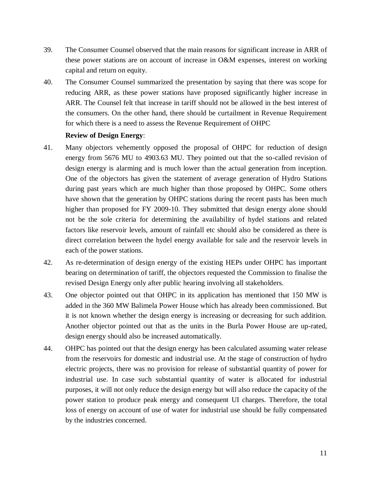- 39. The Consumer Counsel observed that the main reasons for significant increase in ARR of these power stations are on account of increase in O&M expenses, interest on working capital and return on equity.
- 40. The Consumer Counsel summarized the presentation by saying that there was scope for reducing ARR, as these power stations have proposed significantly higher increase in ARR. The Counsel felt that increase in tariff should not be allowed in the best interest of the consumers. On the other hand, there should be curtailment in Revenue Requirement for which there is a need to assess the Revenue Requirement of OHPC

#### **Review of Design Energy**:

- 41. Many objectors vehemently opposed the proposal of OHPC for reduction of design energy from 5676 MU to 4903.63 MU. They pointed out that the so-called revision of design energy is alarming and is much lower than the actual generation from inception. One of the objectors has given the statement of average generation of Hydro Stations during past years which are much higher than those proposed by OHPC. Some others have shown that the generation by OHPC stations during the recent pasts has been much higher than proposed for FY 2009-10. They submitted that design energy alone should not be the sole criteria for determining the availability of hydel stations and related factors like reservoir levels, amount of rainfall etc should also be considered as there is direct correlation between the hydel energy available for sale and the reservoir levels in each of the power stations.
- 42. As re-determination of design energy of the existing HEPs under OHPC has important bearing on determination of tariff, the objectors requested the Commission to finalise the revised Design Energy only after public hearing involving all stakeholders.
- 43. One objector pointed out that OHPC in its application has mentioned that 150 MW is added in the 360 MW Balimela Power House which has already been commissioned. But it is not known whether the design energy is increasing or decreasing for such addition. Another objector pointed out that as the units in the Burla Power House are up-rated, design energy should also be increased automatically.
- 44. OHPC has pointed out that the design energy has been calculated assuming water release from the reservoirs for domestic and industrial use. At the stage of construction of hydro electric projects, there was no provision for release of substantial quantity of power for industrial use. In case such substantial quantity of water is allocated for industrial purposes, it will not only reduce the design energy but will also reduce the capacity of the power station to produce peak energy and consequent UI charges. Therefore, the total loss of energy on account of use of water for industrial use should be fully compensated by the industries concerned.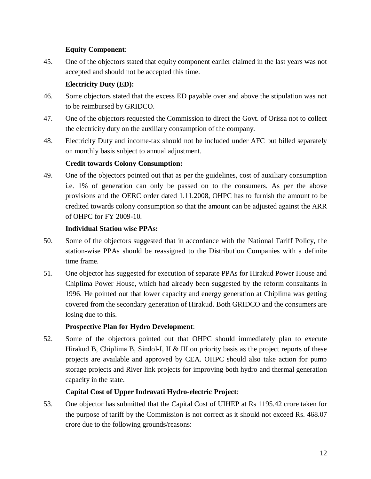# **Equity Component**:

45. One of the objectors stated that equity component earlier claimed in the last years was not accepted and should not be accepted this time.

# **Electricity Duty (ED):**

- 46. Some objectors stated that the excess ED payable over and above the stipulation was not to be reimbursed by GRIDCO.
- 47. One of the objectors requested the Commission to direct the Govt. of Orissa not to collect the electricity duty on the auxiliary consumption of the company.
- 48. Electricity Duty and income-tax should not be included under AFC but billed separately on monthly basis subject to annual adjustment.

# **Credit towards Colony Consumption:**

49. One of the objectors pointed out that as per the guidelines, cost of auxiliary consumption i.e. 1% of generation can only be passed on to the consumers. As per the above provisions and the OERC order dated 1.11.2008, OHPC has to furnish the amount to be credited towards colony consumption so that the amount can be adjusted against the ARR of OHPC for FY 2009-10.

## **Individual Station wise PPAs:**

- 50. Some of the objectors suggested that in accordance with the National Tariff Policy, the station-wise PPAs should be reassigned to the Distribution Companies with a definite time frame.
- 51. One objector has suggested for execution of separate PPAs for Hirakud Power House and Chiplima Power House, which had already been suggested by the reform consultants in 1996. He pointed out that lower capacity and energy generation at Chiplima was getting covered from the secondary generation of Hirakud. Both GRIDCO and the consumers are losing due to this.

# **Prospective Plan for Hydro Development**:

52. Some of the objectors pointed out that OHPC should immediately plan to execute Hirakud B, Chiplima B, Sindol-I, II & III on priority basis as the project reports of these projects are available and approved by CEA. OHPC should also take action for pump storage projects and River link projects for improving both hydro and thermal generation capacity in the state.

# **Capital Cost of Upper Indravati Hydro-electric Project**:

53. One objector has submitted that the Capital Cost of UIHEP at Rs 1195.42 crore taken for the purpose of tariff by the Commission is not correct as it should not exceed Rs. 468.07 crore due to the following grounds/reasons: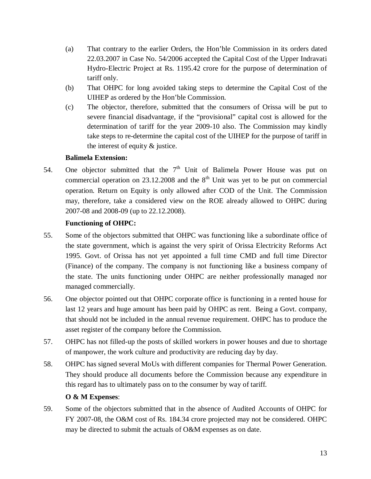- (a) That contrary to the earlier Orders, the Hon'ble Commission in its orders dated 22.03.2007 in Case No. 54/2006 accepted the Capital Cost of the Upper Indravati Hydro-Electric Project at Rs. 1195.42 crore for the purpose of determination of tariff only.
- (b) That OHPC for long avoided taking steps to determine the Capital Cost of the UIHEP as ordered by the Hon'ble Commission.
- (c) The objector, therefore, submitted that the consumers of Orissa will be put to severe financial disadvantage, if the "provisional" capital cost is allowed for the determination of tariff for the year 2009-10 also. The Commission may kindly take steps to re-determine the capital cost of the UIHEP for the purpose of tariff in the interest of equity & justice.

## **Balimela Extension:**

54. One objector submitted that the  $7<sup>th</sup>$  Unit of Balimela Power House was put on commercial operation on  $23.12.2008$  and the  $8<sup>th</sup>$  Unit was yet to be put on commercial operation. Return on Equity is only allowed after COD of the Unit. The Commission may, therefore, take a considered view on the ROE already allowed to OHPC during 2007-08 and 2008-09 (up to 22.12.2008).

# **Functioning of OHPC:**

- 55. Some of the objectors submitted that OHPC was functioning like a subordinate office of the state government, which is against the very spirit of Orissa Electricity Reforms Act 1995. Govt. of Orissa has not yet appointed a full time CMD and full time Director (Finance) of the company. The company is not functioning like a business company of the state. The units functioning under OHPC are neither professionally managed nor managed commercially.
- 56. One objector pointed out that OHPC corporate office is functioning in a rented house for last 12 years and huge amount has been paid by OHPC as rent. Being a Govt. company, that should not be included in the annual revenue requirement. OHPC has to produce the asset register of the company before the Commission.
- 57. OHPC has not filled-up the posts of skilled workers in power houses and due to shortage of manpower, the work culture and productivity are reducing day by day.
- 58. OHPC has signed several MoUs with different companies for Thermal Power Generation. They should produce all documents before the Commission because any expenditure in this regard has to ultimately pass on to the consumer by way of tariff.

## **O & M Expenses**:

59. Some of the objectors submitted that in the absence of Audited Accounts of OHPC for FY 2007-08, the O&M cost of Rs. 184.34 crore projected may not be considered. OHPC may be directed to submit the actuals of O&M expenses as on date.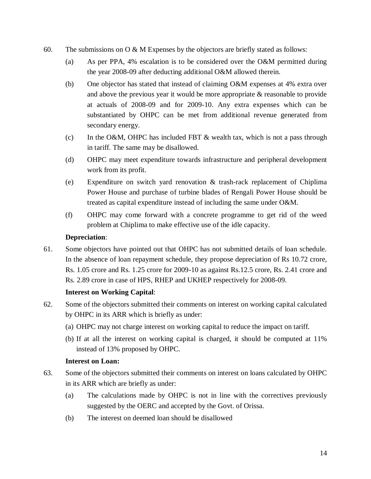- 60. The submissions on O & M Expenses by the objectors are briefly stated as follows:
	- (a) As per PPA, 4% escalation is to be considered over the O&M permitted during the year 2008-09 after deducting additional O&M allowed therein.
	- (b) One objector has stated that instead of claiming O&M expenses at 4% extra over and above the previous year it would be more appropriate & reasonable to provide at actuals of 2008-09 and for 2009-10. Any extra expenses which can be substantiated by OHPC can be met from additional revenue generated from secondary energy.
	- (c) In the O&M, OHPC has included FBT  $\&$  wealth tax, which is not a pass through in tariff. The same may be disallowed.
	- (d) OHPC may meet expenditure towards infrastructure and peripheral development work from its profit.
	- (e) Expenditure on switch yard renovation & trash-rack replacement of Chiplima Power House and purchase of turbine blades of Rengali Power House should be treated as capital expenditure instead of including the same under O&M.
	- (f) OHPC may come forward with a concrete programme to get rid of the weed problem at Chiplima to make effective use of the idle capacity.

## **Depreciation**:

61. Some objectors have pointed out that OHPC has not submitted details of loan schedule. In the absence of loan repayment schedule, they propose depreciation of Rs 10.72 crore, Rs. 1.05 crore and Rs. 1.25 crore for 2009-10 as against Rs.12.5 crore, Rs. 2.41 crore and Rs. 2.89 crore in case of HPS, RHEP and UKHEP respectively for 2008-09.

## **Interest on Working Capital**:

- 62. Some of the objectors submitted their comments on interest on working capital calculated by OHPC in its ARR which is briefly as under:
	- (a) OHPC may not charge interest on working capital to reduce the impact on tariff.
	- (b) If at all the interest on working capital is charged, it should be computed at 11% instead of 13% proposed by OHPC.

## **Interest on Loan:**

- 63. Some of the objectors submitted their comments on interest on loans calculated by OHPC in its ARR which are briefly as under:
	- (a) The calculations made by OHPC is not in line with the correctives previously suggested by the OERC and accepted by the Govt. of Orissa.
	- (b) The interest on deemed loan should be disallowed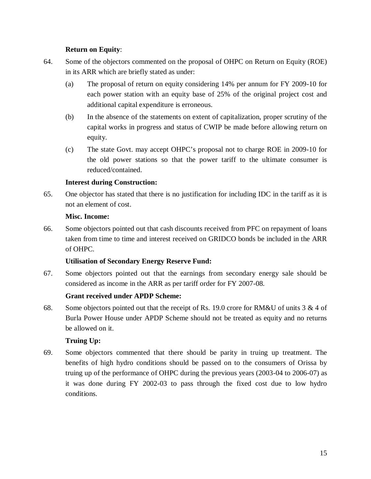## **Return on Equity**:

- 64. Some of the objectors commented on the proposal of OHPC on Return on Equity (ROE) in its ARR which are briefly stated as under:
	- (a) The proposal of return on equity considering 14% per annum for FY 2009-10 for each power station with an equity base of 25% of the original project cost and additional capital expenditure is erroneous.
	- (b) In the absence of the statements on extent of capitalization, proper scrutiny of the capital works in progress and status of CWIP be made before allowing return on equity.
	- (c) The state Govt. may accept OHPC's proposal not to charge ROE in 2009-10 for the old power stations so that the power tariff to the ultimate consumer is reduced/contained.

## **Interest during Construction:**

65. One objector has stated that there is no justification for including IDC in the tariff as it is not an element of cost.

## **Misc. Income:**

66. Some objectors pointed out that cash discounts received from PFC on repayment of loans taken from time to time and interest received on GRIDCO bonds be included in the ARR of OHPC.

## **Utilisation of Secondary Energy Reserve Fund:**

67. Some objectors pointed out that the earnings from secondary energy sale should be considered as income in the ARR as per tariff order for FY 2007-08.

## **Grant received under APDP Scheme:**

68. Some objectors pointed out that the receipt of Rs. 19.0 crore for RM&U of units  $3 & 4$  of Burla Power House under APDP Scheme should not be treated as equity and no returns be allowed on it.

## **Truing Up:**

69. Some objectors commented that there should be parity in truing up treatment. The benefits of high hydro conditions should be passed on to the consumers of Orissa by truing up of the performance of OHPC during the previous years (2003-04 to 2006-07) as it was done during FY 2002-03 to pass through the fixed cost due to low hydro conditions.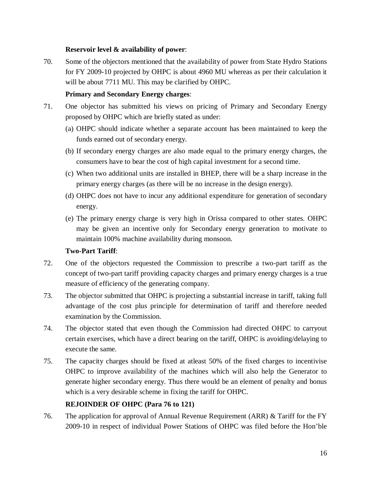## **Reservoir level & availability of power**:

70. Some of the objectors mentioned that the availability of power from State Hydro Stations for FY 2009-10 projected by OHPC is about 4960 MU whereas as per their calculation it will be about 7711 MU. This may be clarified by OHPC.

## **Primary and Secondary Energy charges**:

- 71. One objector has submitted his views on pricing of Primary and Secondary Energy proposed by OHPC which are briefly stated as under:
	- (a) OHPC should indicate whether a separate account has been maintained to keep the funds earned out of secondary energy.
	- (b) If secondary energy charges are also made equal to the primary energy charges, the consumers have to bear the cost of high capital investment for a second time.
	- (c) When two additional units are installed in BHEP, there will be a sharp increase in the primary energy charges (as there will be no increase in the design energy).
	- (d) OHPC does not have to incur any additional expenditure for generation of secondary energy.
	- (e) The primary energy charge is very high in Orissa compared to other states. OHPC may be given an incentive only for Secondary energy generation to motivate to maintain 100% machine availability during monsoon.

## **Two-Part Tariff**:

- 72. One of the objectors requested the Commission to prescribe a two-part tariff as the concept of two-part tariff providing capacity charges and primary energy charges is a true measure of efficiency of the generating company.
- 73. The objector submitted that OHPC is projecting a substantial increase in tariff, taking full advantage of the cost plus principle for determination of tariff and therefore needed examination by the Commission.
- 74. The objector stated that even though the Commission had directed OHPC to carryout certain exercises, which have a direct bearing on the tariff, OHPC is avoiding/delaying to execute the same.
- 75. The capacity charges should be fixed at atleast 50% of the fixed charges to incentivise OHPC to improve availability of the machines which will also help the Generator to generate higher secondary energy. Thus there would be an element of penalty and bonus which is a very desirable scheme in fixing the tariff for OHPC.

## **REJOINDER OF OHPC (Para 76 to 121)**

76. The application for approval of Annual Revenue Requirement (ARR) & Tariff for the FY 2009-10 in respect of individual Power Stations of OHPC was filed before the Hon'ble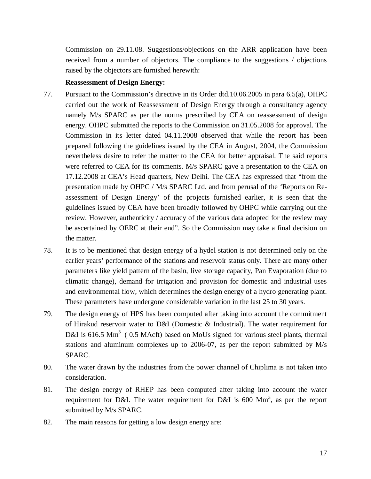Commission on 29.11.08. Suggestions/objections on the ARR application have been received from a number of objectors. The compliance to the suggestions / objections raised by the objectors are furnished herewith:

#### **Reassessment of Design Energy:**

- 77. Pursuant to the Commission's directive in its Order dtd.10.06.2005 in para 6.5(a), OHPC carried out the work of Reassessment of Design Energy through a consultancy agency namely M/s SPARC as per the norms prescribed by CEA on reassessment of design energy. OHPC submitted the reports to the Commission on 31.05.2008 for approval. The Commission in its letter dated 04.11.2008 observed that while the report has been prepared following the guidelines issued by the CEA in August, 2004, the Commission nevertheless desire to refer the matter to the CEA for better appraisal. The said reports were referred to CEA for its comments. M/s SPARC gave a presentation to the CEA on 17.12.2008 at CEA's Head quarters, New Delhi. The CEA has expressed that "from the presentation made by OHPC / M/s SPARC Ltd. and from perusal of the 'Reports on Reassessment of Design Energy' of the projects furnished earlier, it is seen that the guidelines issued by CEA have been broadly followed by OHPC while carrying out the review. However, authenticity / accuracy of the various data adopted for the review may be ascertained by OERC at their end". So the Commission may take a final decision on the matter.
- 78. It is to be mentioned that design energy of a hydel station is not determined only on the earlier years' performance of the stations and reservoir status only. There are many other parameters like yield pattern of the basin, live storage capacity, Pan Evaporation (due to climatic change), demand for irrigation and provision for domestic and industrial uses and environmental flow, which determines the design energy of a hydro generating plant. These parameters have undergone considerable variation in the last 25 to 30 years.
- 79. The design energy of HPS has been computed after taking into account the commitment of Hirakud reservoir water to D&I (Domestic & Industrial). The water requirement for D&I is 616.5 Mm<sup>3</sup> (0.5 MAcft) based on MoUs signed for various steel plants, thermal stations and aluminum complexes up to 2006-07, as per the report submitted by M/s SPARC.
- 80. The water drawn by the industries from the power channel of Chiplima is not taken into consideration.
- 81. The design energy of RHEP has been computed after taking into account the water requirement for D&I. The water requirement for D&I is 600  $\text{Mm}^3$ , as per the report submitted by M/s SPARC.
- 82. The main reasons for getting a low design energy are: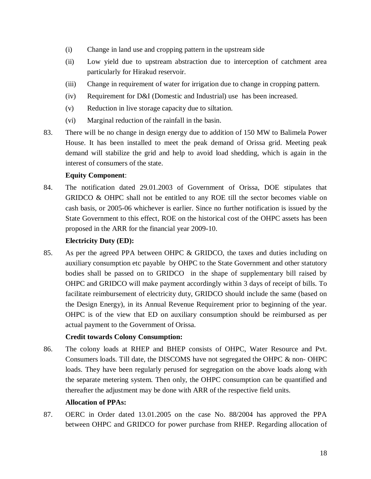- (i) Change in land use and cropping pattern in the upstream side
- (ii) Low yield due to upstream abstraction due to interception of catchment area particularly for Hirakud reservoir.
- (iii) Change in requirement of water for irrigation due to change in cropping pattern.
- (iv) Requirement for D&I (Domestic and Industrial) use has been increased.
- (v) Reduction in live storage capacity due to siltation.
- (vi) Marginal reduction of the rainfall in the basin.
- 83. There will be no change in design energy due to addition of 150 MW to Balimela Power House. It has been installed to meet the peak demand of Orissa grid. Meeting peak demand will stabilize the grid and help to avoid load shedding, which is again in the interest of consumers of the state.

## **Equity Component**:

84. The notification dated 29.01.2003 of Government of Orissa, DOE stipulates that GRIDCO & OHPC shall not be entitled to any ROE till the sector becomes viable on cash basis, or 2005-06 whichever is earlier. Since no further notification is issued by the State Government to this effect, ROE on the historical cost of the OHPC assets has been proposed in the ARR for the financial year 2009-10.

### **Electricity Duty (ED):**

85. As per the agreed PPA between OHPC & GRIDCO, the taxes and duties including on auxiliary consumption etc payable by OHPC to the State Government and other statutory bodies shall be passed on to GRIDCO in the shape of supplementary bill raised by OHPC and GRIDCO will make payment accordingly within 3 days of receipt of bills. To facilitate reimbursement of electricity duty, GRIDCO should include the same (based on the Design Energy), in its Annual Revenue Requirement prior to beginning of the year. OHPC is of the view that ED on auxiliary consumption should be reimbursed as per actual payment to the Government of Orissa.

## **Credit towards Colony Consumption:**

86. The colony loads at RHEP and BHEP consists of OHPC, Water Resource and Pvt. Consumers loads. Till date, the DISCOMS have not segregated the OHPC & non- OHPC loads. They have been regularly perused for segregation on the above loads along with the separate metering system. Then only, the OHPC consumption can be quantified and thereafter the adjustment may be done with ARR of the respective field units.

## **Allocation of PPAs:**

87. OERC in Order dated 13.01.2005 on the case No. 88/2004 has approved the PPA between OHPC and GRIDCO for power purchase from RHEP. Regarding allocation of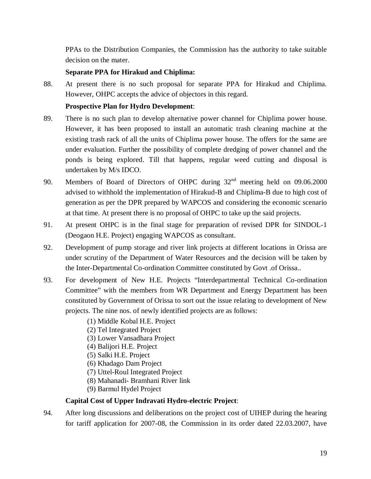PPAs to the Distribution Companies, the Commission has the authority to take suitable decision on the mater.

## **Separate PPA for Hirakud and Chiplima:**

88. At present there is no such proposal for separate PPA for Hirakud and Chiplima. However, OHPC accepts the advice of objectors in this regard.

## **Prospective Plan for Hydro Development**:

- 89. There is no such plan to develop alternative power channel for Chiplima power house. However, it has been proposed to install an automatic trash cleaning machine at the existing trash rack of all the units of Chiplima power house. The offers for the same are under evaluation. Further the possibility of complete dredging of power channel and the ponds is being explored. Till that happens, regular weed cutting and disposal is undertaken by M/s IDCO.
- 90. Members of Board of Directors of OHPC during 32nd meeting held on 09.06.2000 advised to withhold the implementation of Hirakud-B and Chiplima-B due to high cost of generation as per the DPR prepared by WAPCOS and considering the economic scenario at that time. At present there is no proposal of OHPC to take up the said projects.
- 91. At present OHPC is in the final stage for preparation of revised DPR for SINDOL-1 (Deogaon H.E. Project) engaging WAPCOS as consultant.
- 92. Development of pump storage and river link projects at different locations in Orissa are under scrutiny of the Department of Water Resources and the decision will be taken by the Inter-Departmental Co-ordination Committee constituted by Govt .of Orissa..
- 93. For development of New H.E. Projects "Interdepartmental Technical Co-ordination Committee" with the members from WR Department and Energy Department has been constituted by Government of Orissa to sort out the issue relating to development of New projects. The nine nos. of newly identified projects are as follows:
	- (1) Middle Kobal H.E. Project
	- (2) Tel Integrated Project
	- (3) Lower Vansadhara Project
	- (4) Balijori H.E. Project
	- (5) Salki H.E. Project
	- (6) Khadago Dam Project
	- (7) Uttel-Roul Integrated Project
	- (8) Mahanadi- Bramhani River link
	- (9) Barmul Hydel Project

### **Capital Cost of Upper Indravati Hydro-electric Project**:

94. After long discussions and deliberations on the project cost of UIHEP during the hearing for tariff application for 2007-08, the Commission in its order dated 22.03.2007, have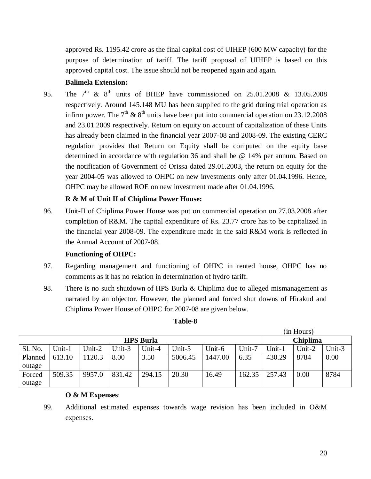approved Rs. 1195.42 crore as the final capital cost of UIHEP (600 MW capacity) for the purpose of determination of tariff. The tariff proposal of UIHEP is based on this approved capital cost. The issue should not be reopened again and again.

# **Balimela Extension:**

95. The  $7<sup>th</sup>$  &  $8<sup>th</sup>$  units of BHEP have commissioned on 25.01.2008 & 13.05.2008 respectively. Around 145.148 MU has been supplied to the grid during trial operation as infirm power. The  $7<sup>th</sup>$  &  $8<sup>th</sup>$  units have been put into commercial operation on 23.12.2008 and 23.01.2009 respectively. Return on equity on account of capitalization of these Units has already been claimed in the financial year 2007-08 and 2008-09. The existing CERC regulation provides that Return on Equity shall be computed on the equity base determined in accordance with regulation 36 and shall be @ 14% per annum. Based on the notification of Government of Orissa dated 29.01.2003, the return on equity for the year 2004-05 was allowed to OHPC on new investments only after 01.04.1996. Hence, OHPC may be allowed ROE on new investment made after 01.04.1996.

# **R & M of Unit II of Chiplima Power House:**

96. Unit-II of Chiplima Power House was put on commercial operation on 27.03.2008 after completion of R&M. The capital expenditure of Rs. 23.77 crore has to be capitalized in the financial year 2008-09. The expenditure made in the said R&M work is reflected in the Annual Account of 2007-08.

## **Functioning of OHPC:**

- 97. Regarding management and functioning of OHPC in rented house, OHPC has no comments as it has no relation in determination of hydro tariff.
- 98. There is no such shutdown of HPS Burla & Chiplima due to alleged mismanagement as narrated by an objector. However, the planned and forced shut downs of Hirakud and Chiplima Power House of OHPC for 2007-08 are given below.

| <b>HPS Burla</b> |        |        |        |        |         |         | Chiplima |        |        |        |
|------------------|--------|--------|--------|--------|---------|---------|----------|--------|--------|--------|
| Sl. No.          | Unit-1 | Unit-2 | Jnit-3 | Unit-4 | Unit-5  | Unit-6  | Unit-7   | Unit-1 | Unit-2 | Unit-3 |
| Planned          | 613.10 | 1120.3 | 8.00   | 3.50   | 5006.45 | 1447.00 | 6.35     | 430.29 | 8784   | 0.00   |
| outage           |        |        |        |        |         |         |          |        |        |        |
| Forced           | 509.35 | 9957.0 | 831.42 | 294.15 | 20.30   | 16.49   | 162.35   | 257.43 | 0.00   | 8784   |
| outage           |        |        |        |        |         |         |          |        |        |        |

## **Table-8**

## **O & M Expenses**:

(in Hours)

<sup>99.</sup> Additional estimated expenses towards wage revision has been included in O&M expenses.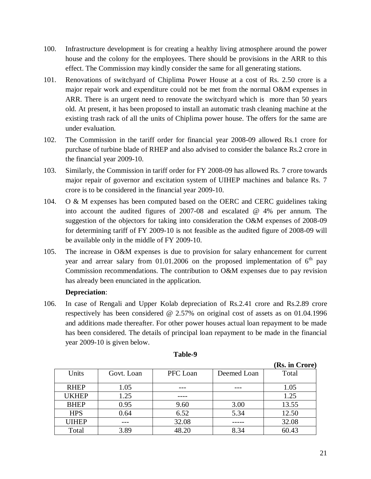- 100. Infrastructure development is for creating a healthy living atmosphere around the power house and the colony for the employees. There should be provisions in the ARR to this effect. The Commission may kindly consider the same for all generating stations.
- 101. Renovations of switchyard of Chiplima Power House at a cost of Rs. 2.50 crore is a major repair work and expenditure could not be met from the normal O&M expenses in ARR. There is an urgent need to renovate the switchyard which is more than 50 years old. At present, it has been proposed to install an automatic trash cleaning machine at the existing trash rack of all the units of Chiplima power house. The offers for the same are under evaluation.
- 102. The Commission in the tariff order for financial year 2008-09 allowed Rs.1 crore for purchase of turbine blade of RHEP and also advised to consider the balance Rs.2 crore in the financial year 2009-10.
- 103. Similarly, the Commission in tariff order for FY 2008-09 has allowed Rs. 7 crore towards major repair of governor and excitation system of UIHEP machines and balance Rs. 7 crore is to be considered in the financial year 2009-10.
- 104. O & M expenses has been computed based on the OERC and CERC guidelines taking into account the audited figures of 2007-08 and escalated @ 4% per annum. The suggestion of the objectors for taking into consideration the O&M expenses of 2008-09 for determining tariff of FY 2009-10 is not feasible as the audited figure of 2008-09 will be available only in the middle of FY 2009-10.
- 105. The increase in O&M expenses is due to provision for salary enhancement for current year and arrear salary from 01.01.2006 on the proposed implementation of  $6<sup>th</sup>$  pay Commission recommendations. The contribution to O&M expenses due to pay revision has already been enunciated in the application.

### **Depreciation**:

106. In case of Rengali and Upper Kolab depreciation of Rs.2.41 crore and Rs.2.89 crore respectively has been considered @ 2.57% on original cost of assets as on 01.04.1996 and additions made thereafter. For other power houses actual loan repayment to be made has been considered. The details of principal loan repayment to be made in the financial year 2009-10 is given below.

|              |            |          |             | (Rs. in Crore) |
|--------------|------------|----------|-------------|----------------|
| Units        | Govt. Loan | PFC Loan | Deemed Loan | Total          |
|              |            |          |             |                |
| <b>RHEP</b>  | 1.05       |          |             | 1.05           |
| <b>UKHEP</b> | 1.25       |          |             | 1.25           |
| <b>BHEP</b>  | 0.95       | 9.60     | 3.00        | 13.55          |
| <b>HPS</b>   | 0.64       | 6.52     | 5.34        | 12.50          |
| <b>UIHEP</b> |            | 32.08    |             | 32.08          |
| Total        | 3.89       | 48.20    | 8.34        | 60.43          |

### **Table-9**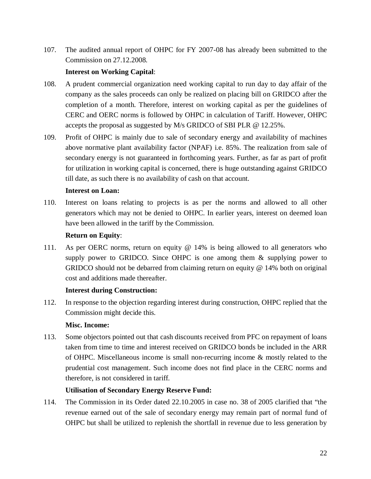107. The audited annual report of OHPC for FY 2007-08 has already been submitted to the Commission on 27.12.2008.

## **Interest on Working Capital**:

- 108. A prudent commercial organization need working capital to run day to day affair of the company as the sales proceeds can only be realized on placing bill on GRIDCO after the completion of a month. Therefore, interest on working capital as per the guidelines of CERC and OERC norms is followed by OHPC in calculation of Tariff. However, OHPC accepts the proposal as suggested by M/s GRIDCO of SBI PLR @ 12.25%.
- 109. Profit of OHPC is mainly due to sale of secondary energy and availability of machines above normative plant availability factor (NPAF) i.e. 85%. The realization from sale of secondary energy is not guaranteed in forthcoming years. Further, as far as part of profit for utilization in working capital is concerned, there is huge outstanding against GRIDCO till date, as such there is no availability of cash on that account.

### **Interest on Loan:**

110. Interest on loans relating to projects is as per the norms and allowed to all other generators which may not be denied to OHPC. In earlier years, interest on deemed loan have been allowed in the tariff by the Commission.

### **Return on Equity**:

111. As per OERC norms, return on equity @ 14% is being allowed to all generators who supply power to GRIDCO. Since OHPC is one among them & supplying power to GRIDCO should not be debarred from claiming return on equity  $@$  14% both on original cost and additions made thereafter.

### **Interest during Construction:**

112. In response to the objection regarding interest during construction, OHPC replied that the Commission might decide this.

### **Misc. Income:**

113. Some objectors pointed out that cash discounts received from PFC on repayment of loans taken from time to time and interest received on GRIDCO bonds be included in the ARR of OHPC. Miscellaneous income is small non-recurring income & mostly related to the prudential cost management. Such income does not find place in the CERC norms and therefore, is not considered in tariff.

### **Utilisation of Secondary Energy Reserve Fund:**

114. The Commission in its Order dated 22.10.2005 in case no. 38 of 2005 clarified that "the revenue earned out of the sale of secondary energy may remain part of normal fund of OHPC but shall be utilized to replenish the shortfall in revenue due to less generation by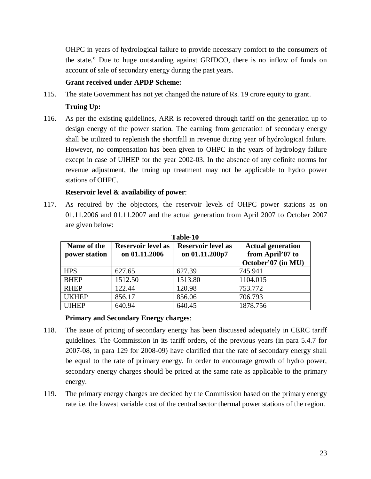OHPC in years of hydrological failure to provide necessary comfort to the consumers of the state." Due to huge outstanding against GRIDCO, there is no inflow of funds on account of sale of secondary energy during the past years.

## **Grant received under APDP Scheme:**

115. The state Government has not yet changed the nature of Rs. 19 crore equity to grant.

## **Truing Up:**

116. As per the existing guidelines, ARR is recovered through tariff on the generation up to design energy of the power station. The earning from generation of secondary energy shall be utilized to replenish the shortfall in revenue during year of hydrological failure. However, no compensation has been given to OHPC in the years of hydrology failure except in case of UIHEP for the year 2002-03. In the absence of any definite norms for revenue adjustment, the truing up treatment may not be applicable to hydro power stations of OHPC.

## **Reservoir level & availability of power**:

117. As required by the objectors, the reservoir levels of OHPC power stations as on 01.11.2006 and 01.11.2007 and the actual generation from April 2007 to October 2007 are given below:

| Name of the<br>power station | <b>Reservoir level as</b><br>on 01.11.2006 | <b>Reservoir level as</b><br>on 01.11.200p7 | <b>Actual generation</b><br>from April'07 to<br>October'07 (in MU) |
|------------------------------|--------------------------------------------|---------------------------------------------|--------------------------------------------------------------------|
| <b>HPS</b>                   | 627.65                                     | 627.39                                      | 745.941                                                            |
| <b>BHEP</b>                  | 1512.50                                    | 1513.80                                     | 1104.015                                                           |
| <b>RHEP</b>                  | 122.44                                     | 120.98                                      | 753.772                                                            |
| <b>UKHEP</b>                 | 856.17                                     | 856.06                                      | 706.793                                                            |
| <b>UIHEP</b>                 | 640.94                                     | 640.45                                      | 1878.756                                                           |

**Table-10**

### **Primary and Secondary Energy charges**:

- 118. The issue of pricing of secondary energy has been discussed adequately in CERC tariff guidelines. The Commission in its tariff orders, of the previous years (in para 5.4.7 for 2007-08, in para 129 for 2008-09) have clarified that the rate of secondary energy shall be equal to the rate of primary energy. In order to encourage growth of hydro power, secondary energy charges should be priced at the same rate as applicable to the primary energy.
- 119. The primary energy charges are decided by the Commission based on the primary energy rate i.e. the lowest variable cost of the central sector thermal power stations of the region.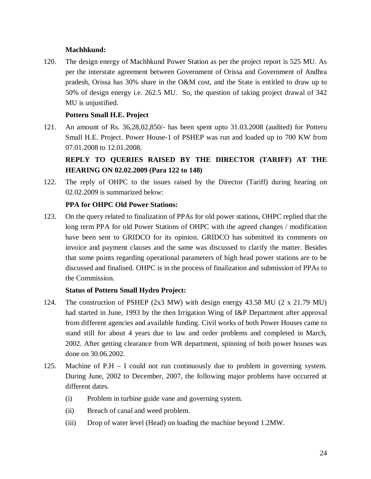# **Machhkund:**

120. The design energy of Machhkund Power Station as per the project report is 525 MU. As per the interstate agreement between Government of Orissa and Government of Andhra pradesh, Orissa has 30% share in the O&M cost, and the State is entitled to draw up to 50% of design energy i.e. 262.5 MU. So, the question of taking project drawal of 342 MU is unjustified.

# **Potteru Small H.E. Project**

121. An amount of Rs. 36,28,02,850/- has been spent upto 31.03.2008 (audited) for Potteru Small H.E. Project. Power House-1 of PSHEP was run and loaded up to 700 KW from 07.01.2008 to 12.01.2008.

# **REPLY TO QUERIES RAISED BY THE DIRECTOR (TARIFF) AT THE HEARING ON 02.02.2009 (Para 122 to 148)**

122. The reply of OHPC to the issues raised by the Director (Tariff) during hearing on 02.02.2009 is summarized below:

# **PPA for OHPC Old Power Stations:**

123. On the query related to finalization of PPAs for old power stations, OHPC replied that the long term PPA for old Power Stations of OHPC with the agreed changes / modification have been sent to GRIDCO for its opinion. GRIDCO has submitted its comments on invoice and payment clauses and the same was discussed to clarify the matter. Besides that some points regarding operational parameters of high head power stations are to be discussed and finalised. OHPC is in the process of finalization and submission of PPAs to the Commission.

## **Status of Potteru Small Hydro Project:**

- 124. The construction of PSHEP (2x3 MW) with design energy 43.58 MU (2 x 21.79 MU) had started in June, 1993 by the then Irrigation Wing of I&P Department after approval from different agencies and available funding. Civil works of both Power Houses came to stand still for about 4 years due to law and order problems and completed in March, 2002. After getting clearance from WR department, spinning of both power houses was done on 30.06.2002.
- 125. Machine of P.H I could not run continuously due to problem in governing system. During June, 2002 to December, 2007, the following major problems have occurred at different dates.
	- (i) Problem in turbine guide vane and governing system.
	- (ii) Breach of canal and weed problem.
	- (iii) Drop of water level (Head) on loading the machine beyond 1.2MW.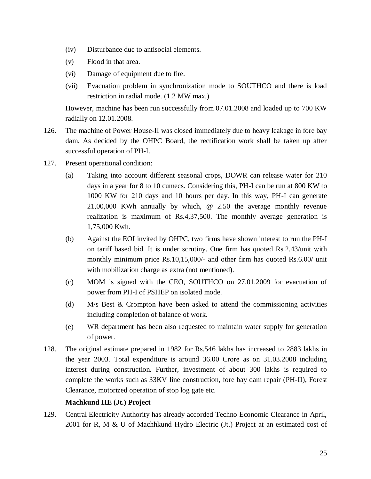- (iv) Disturbance due to antisocial elements.
- (v) Flood in that area.
- (vi) Damage of equipment due to fire.
- (vii) Evacuation problem in synchronization mode to SOUTHCO and there is load restriction in radial mode. (1.2 MW max.)

However, machine has been run successfully from 07.01.2008 and loaded up to 700 KW radially on 12.01.2008.

- 126. The machine of Power House-II was closed immediately due to heavy leakage in fore bay dam. As decided by the OHPC Board, the rectification work shall be taken up after successful operation of PH-I.
- 127. Present operational condition:
	- (a) Taking into account different seasonal crops, DOWR can release water for 210 days in a year for 8 to 10 cumecs. Considering this, PH-I can be run at 800 KW to 1000 KW for 210 days and 10 hours per day. In this way, PH-I can generate 21,00,000 KWh annually by which, @ 2.50 the average monthly revenue realization is maximum of Rs.4,37,500. The monthly average generation is 1,75,000 Kwh.
	- (b) Against the EOI invited by OHPC, two firms have shown interest to run the PH-I on tariff based bid. It is under scrutiny. One firm has quoted Rs.2.43/unit with monthly minimum price Rs.10,15,000/- and other firm has quoted Rs.6.00/ unit with mobilization charge as extra (not mentioned).
	- (c) MOM is signed with the CEO, SOUTHCO on 27.01.2009 for evacuation of power from PH-I of PSHEP on isolated mode.
	- (d) M/s Best & Crompton have been asked to attend the commissioning activities including completion of balance of work.
	- (e) WR department has been also requested to maintain water supply for generation of power.
- 128. The original estimate prepared in 1982 for Rs.546 lakhs has increased to 2883 lakhs in the year 2003. Total expenditure is around 36.00 Crore as on 31.03.2008 including interest during construction. Further, investment of about 300 lakhs is required to complete the works such as 33KV line construction, fore bay dam repair (PH-II), Forest Clearance, motorized operation of stop log gate etc.

## **Machkund HE (Jt.) Project**

129. Central Electricity Authority has already accorded Techno Economic Clearance in April, 2001 for R, M & U of Machhkund Hydro Electric (Jt.) Project at an estimated cost of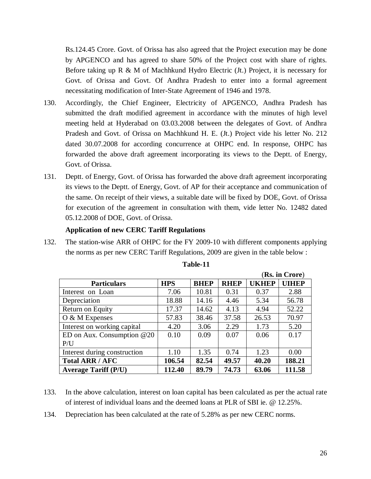Rs.124.45 Crore. Govt. of Orissa has also agreed that the Project execution may be done by APGENCO and has agreed to share 50% of the Project cost with share of rights. Before taking up R & M of Machhkund Hydro Electric (Jt.) Project, it is necessary for Govt. of Orissa and Govt. Of Andhra Pradesh to enter into a formal agreement necessitating modification of Inter-State Agreement of 1946 and 1978.

- 130. Accordingly, the Chief Engineer, Electricity of APGENCO, Andhra Pradesh has submitted the draft modified agreement in accordance with the minutes of high level meeting held at Hyderabad on 03.03.2008 between the delegates of Govt. of Andhra Pradesh and Govt. of Orissa on Machhkund H. E. (Jt.) Project vide his letter No. 212 dated 30.07.2008 for according concurrence at OHPC end. In response, OHPC has forwarded the above draft agreement incorporating its views to the Deptt. of Energy, Govt. of Orissa.
- 131. Deptt. of Energy, Govt. of Orissa has forwarded the above draft agreement incorporating its views to the Deptt. of Energy, Govt. of AP for their acceptance and communication of the same. On receipt of their views, a suitable date will be fixed by DOE, Govt. of Orissa for execution of the agreement in consultation with them, vide letter No. 12482 dated 05.12.2008 of DOE, Govt. of Orissa.

#### **Application of new CERC Tariff Regulations**

132. The station-wise ARR of OHPC for the FY 2009-10 with different components applying the norms as per new CERC Tariff Regulations, 2009 are given in the table below :

|                              |            |             |             |              | (Rs. in Crore) |
|------------------------------|------------|-------------|-------------|--------------|----------------|
| <b>Particulars</b>           | <b>HPS</b> | <b>BHEP</b> | <b>RHEP</b> | <b>UKHEP</b> | <b>UIHEP</b>   |
| Interest on Loan             | 7.06       | 10.81       | 0.31        | 0.37         | 2.88           |
| Depreciation                 | 18.88      | 14.16       | 4.46        | 5.34         | 56.78          |
| Return on Equity             | 17.37      | 14.62       | 4.13        | 4.94         | 52.22          |
| $O & M$ Expenses             | 57.83      | 38.46       | 37.58       | 26.53        | 70.97          |
| Interest on working capital  | 4.20       | 3.06        | 2.29        | 1.73         | 5.20           |
| ED on Aux. Consumption $@20$ | 0.10       | 0.09        | 0.07        | 0.06         | 0.17           |
| P/U                          |            |             |             |              |                |
| Interest during construction | 1.10       | 1.35        | 0.74        | 1.23         | 0.00           |
| <b>Total ARR / AFC</b>       | 106.54     | 82.54       | 49.57       | 40.20        | 188.21         |
| <b>Average Tariff (P/U)</b>  | 112.40     | 89.79       | 74.73       | 63.06        | 111.58         |

#### **Table-11**

- 133. In the above calculation, interest on loan capital has been calculated as per the actual rate of interest of individual loans and the deemed loans at PLR of SBI ie. @ 12.25%.
- 134. Depreciation has been calculated at the rate of 5.28% as per new CERC norms.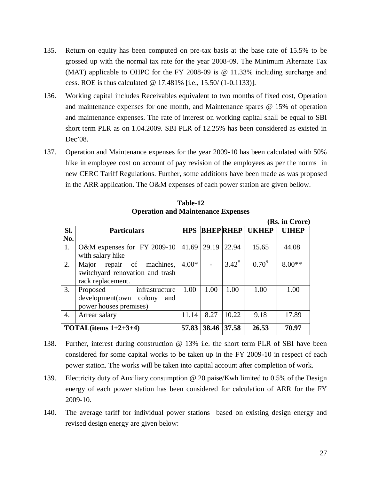- 135. Return on equity has been computed on pre-tax basis at the base rate of 15.5% to be grossed up with the normal tax rate for the year 2008-09. The Minimum Alternate Tax (MAT) applicable to OHPC for the FY 2008-09 is @ 11.33% including surcharge and cess. ROE is thus calculated @ 17.481% [i.e., 15.50/ (1-0.1133)].
- 136. Working capital includes Receivables equivalent to two months of fixed cost, Operation and maintenance expenses for one month, and Maintenance spares @ 15% of operation and maintenance expenses. The rate of interest on working capital shall be equal to SBI short term PLR as on 1.04.2009. SBI PLR of 12.25% has been considered as existed in Dec'08.
- 137. Operation and Maintenance expenses for the year 2009-10 has been calculated with 50% hike in employee cost on account of pay revision of the employees as per the norms in new CERC Tariff Regulations. Further, some additions have been made as was proposed in the ARR application. The O&M expenses of each power station are given bellow.

| Sl. | <b>Particulars</b>                                                                    | <b>HPS</b> |       | <b>BHEP RHEP</b> | <b>UKHEP</b> | <b>UIHEP</b> |
|-----|---------------------------------------------------------------------------------------|------------|-------|------------------|--------------|--------------|
| No. |                                                                                       |            |       |                  |              |              |
| 1.  | O&M expenses for FY 2009-10<br>with salary hike                                       | 41.69      | 29.19 | 22.94            | 15.65        | 44.08        |
| 2.  | Major repair of machines,<br>switchyard renovation and trash<br>rack replacement.     | $4.00*$    |       | $3.42^{\#}$      | $0.70^{\$}$  | $8.00**$     |
| 3.  | infrastructure<br>Proposed<br>development(own colony<br>and<br>power houses premises) | 1.00       | 1.00  | 1.00             | 1.00         | 1.00         |
| 4.  | Arrear salary                                                                         | 11.14      | 8.27  | 10.22            | 9.18         | 17.89        |
|     | TOTAL(items $1+2+3+4$ )                                                               | 57.83      | 38.46 | 37.58            | 26.53        | 70.97        |

**Table-12 Operation and Maintenance Expenses**

- 138. Further, interest during construction @ 13% i.e. the short term PLR of SBI have been considered for some capital works to be taken up in the FY 2009-10 in respect of each power station. The works will be taken into capital account after completion of work.
- 139. Electricity duty of Auxiliary consumption @ 20 paise/Kwh limited to 0.5% of the Design energy of each power station has been considered for calculation of ARR for the FY 2009-10.
- 140. The average tariff for individual power stations based on existing design energy and revised design energy are given below:

**(Rs. in Crore)**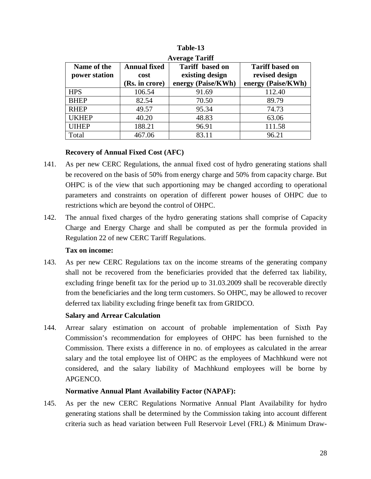|               |                     | Avelage Tailli         |                        |
|---------------|---------------------|------------------------|------------------------|
| Name of the   | <b>Annual fixed</b> | <b>Tariff</b> based on | <b>Tariff based on</b> |
| power station | cost                | existing design        | revised design         |
|               | (Rs. in crore)      | energy (Paise/KWh)     | energy (Paise/KWh)     |
| <b>HPS</b>    | 106.54              | 91.69                  | 112.40                 |
| <b>BHEP</b>   | 82.54               | 70.50                  | 89.79                  |
| <b>RHEP</b>   | 49.57               | 95.34                  | 74.73                  |
| <b>UKHEP</b>  | 40.20               | 48.83                  | 63.06                  |
| <b>UIHEP</b>  | 188.21              | 96.91                  | 111.58                 |
| Total         | 467.06              | 83.11                  | 96.21                  |

**Table-13 Average Tariff**

## **Recovery of Annual Fixed Cost (AFC)**

- 141. As per new CERC Regulations, the annual fixed cost of hydro generating stations shall be recovered on the basis of 50% from energy charge and 50% from capacity charge. But OHPC is of the view that such apportioning may be changed according to operational parameters and constraints on operation of different power houses of OHPC due to restrictions which are beyond the control of OHPC.
- 142. The annual fixed charges of the hydro generating stations shall comprise of Capacity Charge and Energy Charge and shall be computed as per the formula provided in Regulation 22 of new CERC Tariff Regulations.

### **Tax on income:**

143. As per new CERC Regulations tax on the income streams of the generating company shall not be recovered from the beneficiaries provided that the deferred tax liability, excluding fringe benefit tax for the period up to 31.03.2009 shall be recoverable directly from the beneficiaries and the long term customers. So OHPC, may be allowed to recover deferred tax liability excluding fringe benefit tax from GRIDCO.

## **Salary and Arrear Calculation**

144. Arrear salary estimation on account of probable implementation of Sixth Pay Commission's recommendation for employees of OHPC has been furnished to the Commission. There exists a difference in no. of employees as calculated in the arrear salary and the total employee list of OHPC as the employees of Machhkund were not considered, and the salary liability of Machhkund employees will be borne by APGENCO.

## **Normative Annual Plant Availability Factor (NAPAF):**

145. As per the new CERC Regulations Normative Annual Plant Availability for hydro generating stations shall be determined by the Commission taking into account different criteria such as head variation between Full Reservoir Level (FRL) & Minimum Draw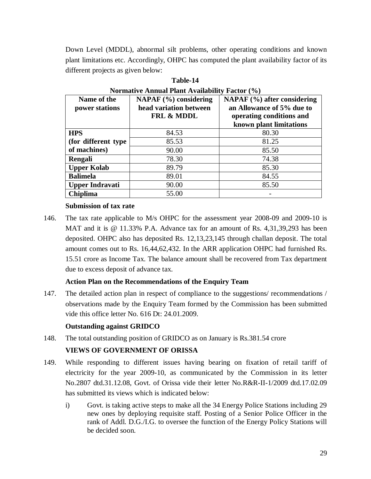Down Level (MDDL), abnormal silt problems, other operating conditions and known plant limitations etc. Accordingly, OHPC has computed the plant availability factor of its different projects as given below:

| Name of the<br>power stations | $NAPAF (%)$ considering<br>head variation between<br><b>FRL &amp; MDDL</b> | NAPAF (%) after considering<br>an Allowance of 5% due to<br>operating conditions and<br>known plant limitations |
|-------------------------------|----------------------------------------------------------------------------|-----------------------------------------------------------------------------------------------------------------|
| <b>HPS</b>                    | 84.53                                                                      | 80.30                                                                                                           |
| (for different type)          | 85.53                                                                      | 81.25                                                                                                           |
| of machines)                  | 90.00                                                                      | 85.50                                                                                                           |
| Rengali                       | 78.30                                                                      | 74.38                                                                                                           |
| <b>Upper Kolab</b>            | 89.79                                                                      | 85.30                                                                                                           |
| <b>Balimela</b>               | 89.01                                                                      | 84.55                                                                                                           |
| <b>Upper Indravati</b>        | 90.00                                                                      | 85.50                                                                                                           |
| <b>Chiplima</b>               | 55.00                                                                      |                                                                                                                 |

**Table-14 Normative Annual Plant Availability Factor (%)**

### **Submission of tax rate**

146. The tax rate applicable to M/s OHPC for the assessment year 2008-09 and 2009-10 is MAT and it is @ 11.33% P.A. Advance tax for an amount of Rs. 4,31,39,293 has been deposited. OHPC also has deposited Rs. 12,13,23,145 through challan deposit. The total amount comes out to Rs. 16,44,62,432. In the ARR application OHPC had furnished Rs. 15.51 crore as Income Tax. The balance amount shall be recovered from Tax department due to excess deposit of advance tax.

## **Action Plan on the Recommendations of the Enquiry Team**

147. The detailed action plan in respect of compliance to the suggestions/ recommendations / observations made by the Enquiry Team formed by the Commission has been submitted vide this office letter No. 616 Dt: 24.01.2009.

## **Outstanding against GRIDCO**

148. The total outstanding position of GRIDCO as on January is Rs.381.54 crore

# **VIEWS OF GOVERNMENT OF ORISSA**

- 149. While responding to different issues having bearing on fixation of retail tariff of electricity for the year 2009-10, as communicated by the Commission in its letter No.2807 dtd.31.12.08, Govt. of Orissa vide their letter No.R&R-II-1/2009 dtd.17.02.09 has submitted its views which is indicated below:
	- i) Govt. is taking active steps to make all the 34 Energy Police Stations including 29 new ones by deploying requisite staff. Posting of a Senior Police Officer in the rank of Addl. D.G./I.G. to oversee the function of the Energy Policy Stations will be decided soon.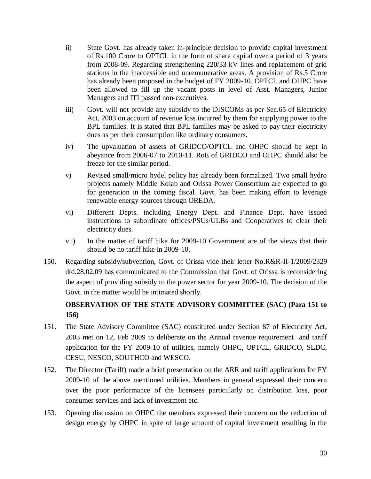- ii) State Govt. has already taken in-principle decision to provide capital investment of Rs.100 Crore to OPTCL in the form of share capital over a period of 3 years from 2008-09. Regarding strengthening 220/33 kV lines and replacement of grid stations in the inaccessible and unremunerative areas. A provision of Rs.5 Crore has already been proposed in the budget of FY 2009-10. OPTCL and OHPC have been allowed to fill up the vacant posts in level of Asst. Managers, Junior Managers and ITI passed non-executives.
- iii) Govt. will not provide any subsidy to the DISCOMs as per Sec.65 of Electricity Act, 2003 on account of revenue loss incurred by them for supplying power to the BPL families. It is stated that BPL families may be asked to pay their electricity dues as per their consumption like ordinary consumers.
- iv) The upvaluation of assets of GRIDCO/OPTCL and OHPC should be kept in abeyance from 2006-07 to 2010-11. RoE of GRIDCO and OHPC should also be freeze for the similar period.
- v) Revised small/micro hydel policy has already been formalized. Two small hydro projects namely Middle Kolab and Orissa Power Consortium are expected to go for generation in the coming fiscal. Govt. has been making effort to leverage renewable energy sources through OREDA.
- vi) Different Depts. including Energy Dept. and Finance Dept. have issued instructions to subordinate offices/PSUs/ULBs and Cooperatives to clear their electricity dues.
- vii) In the matter of tariff hike for 2009-10 Government are of the views that their should be no tariff hike in 2009-10.
- 150. Regarding subsidy/subvention, Govt. of Orissa vide their letter No.R&R-II-1/2009/2329 dtd.28.02.09 has communicated to the Commission that Govt. of Orissa is reconsidering the aspect of providing subsidy to the power sector for year 2009-10. The decision of the Govt. in the matter would be intimated shortly.

# **OBSERVATION OF THE STATE ADVISORY COMMITTEE (SAC) (Para 151 to 156)**

- 151. The State Advisory Committee (SAC) constituted under Section 87 of Electricity Act, 2003 met on 12, Feb 2009 to deliberate on the Annual revenue requirement and tariff application for the FY 2009-10 of utilities, namely OHPC, OPTCL, GRIDCO, SLDC, CESU, NESCO, SOUTHCO and WESCO.
- 152. The Director (Tariff) made a brief presentation on the ARR and tariff applications for FY 2009-10 of the above mentioned utilities. Members in general expressed their concern over the poor performance of the licensees particularly on distribution loss, poor consumer services and lack of investment etc.
- 153. Opening discussion on OHPC the members expressed their concern on the reduction of design energy by OHPC in spite of large amount of capital investment resulting in the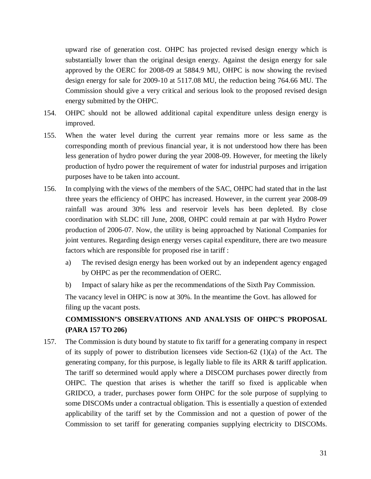upward rise of generation cost. OHPC has projected revised design energy which is substantially lower than the original design energy. Against the design energy for sale approved by the OERC for 2008-09 at 5884.9 MU, OHPC is now showing the revised design energy for sale for 2009-10 at 5117.08 MU, the reduction being 764.66 MU. The Commission should give a very critical and serious look to the proposed revised design energy submitted by the OHPC.

- 154. OHPC should not be allowed additional capital expenditure unless design energy is improved.
- 155. When the water level during the current year remains more or less same as the corresponding month of previous financial year, it is not understood how there has been less generation of hydro power during the year 2008-09. However, for meeting the likely production of hydro power the requirement of water for industrial purposes and irrigation purposes have to be taken into account.
- 156. In complying with the views of the members of the SAC, OHPC had stated that in the last three years the efficiency of OHPC has increased. However, in the current year 2008-09 rainfall was around 30% less and reservoir levels has been depleted. By close coordination with SLDC till June, 2008, OHPC could remain at par with Hydro Power production of 2006-07. Now, the utility is being approached by National Companies for joint ventures. Regarding design energy verses capital expenditure, there are two measure factors which are responsible for proposed rise in tariff :
	- a) The revised design energy has been worked out by an independent agency engaged by OHPC as per the recommendation of OERC.
	- b) Impact of salary hike as per the recommendations of the Sixth Pay Commission.

The vacancy level in OHPC is now at 30%. In the meantime the Govt. has allowed for filing up the vacant posts.

# **COMMISSION'S OBSERVATIONS AND ANALYSIS OF OHPC'S PROPOSAL (PARA 157 TO 206)**

157. The Commission is duty bound by statute to fix tariff for a generating company in respect of its supply of power to distribution licensees vide Section-62  $(1)(a)$  of the Act. The generating company, for this purpose, is legally liable to file its ARR & tariff application. The tariff so determined would apply where a DISCOM purchases power directly from OHPC. The question that arises is whether the tariff so fixed is applicable when GRIDCO, a trader, purchases power form OHPC for the sole purpose of supplying to some DISCOMs under a contractual obligation. This is essentially a question of extended applicability of the tariff set by the Commission and not a question of power of the Commission to set tariff for generating companies supplying electricity to DISCOMs.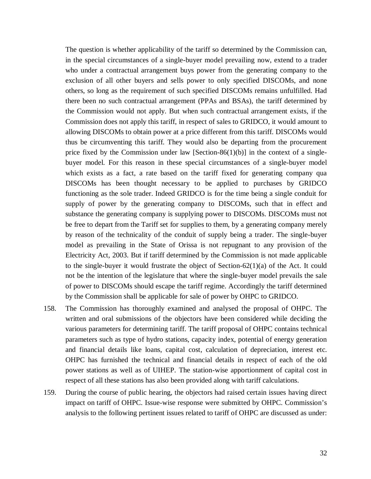The question is whether applicability of the tariff so determined by the Commission can, in the special circumstances of a single-buyer model prevailing now, extend to a trader who under a contractual arrangement buys power from the generating company to the exclusion of all other buyers and sells power to only specified DISCOMs, and none others, so long as the requirement of such specified DISCOMs remains unfulfilled. Had there been no such contractual arrangement (PPAs and BSAs), the tariff determined by the Commission would not apply. But when such contractual arrangement exists, if the Commission does not apply this tariff, in respect of sales to GRIDCO, it would amount to allowing DISCOMs to obtain power at a price different from this tariff. DISCOMs would thus be circumventing this tariff. They would also be departing from the procurement price fixed by the Commission under law  $[Section-86(1)(b)]$  in the context of a singlebuyer model. For this reason in these special circumstances of a single-buyer model which exists as a fact, a rate based on the tariff fixed for generating company qua DISCOMs has been thought necessary to be applied to purchases by GRIDCO functioning as the sole trader. Indeed GRIDCO is for the time being a single conduit for supply of power by the generating company to DISCOMs, such that in effect and substance the generating company is supplying power to DISCOMs. DISCOMs must not be free to depart from the Tariff set for supplies to them, by a generating company merely by reason of the technicality of the conduit of supply being a trader. The single-buyer model as prevailing in the State of Orissa is not repugnant to any provision of the Electricity Act, 2003. But if tariff determined by the Commission is not made applicable to the single-buyer it would frustrate the object of Section-62(1)(a) of the Act. It could not be the intention of the legislature that where the single-buyer model prevails the sale of power to DISCOMs should escape the tariff regime. Accordingly the tariff determined by the Commission shall be applicable for sale of power by OHPC to GRIDCO.

- 158. The Commission has thoroughly examined and analysed the proposal of OHPC. The written and oral submissions of the objectors have been considered while deciding the various parameters for determining tariff. The tariff proposal of OHPC contains technical parameters such as type of hydro stations, capacity index, potential of energy generation and financial details like loans, capital cost, calculation of depreciation, interest etc. OHPC has furnished the technical and financial details in respect of each of the old power stations as well as of UIHEP. The station-wise apportionment of capital cost in respect of all these stations has also been provided along with tariff calculations.
- 159. During the course of public hearing, the objectors had raised certain issues having direct impact on tariff of OHPC. Issue-wise response were submitted by OHPC. Commission's analysis to the following pertinent issues related to tariff of OHPC are discussed as under: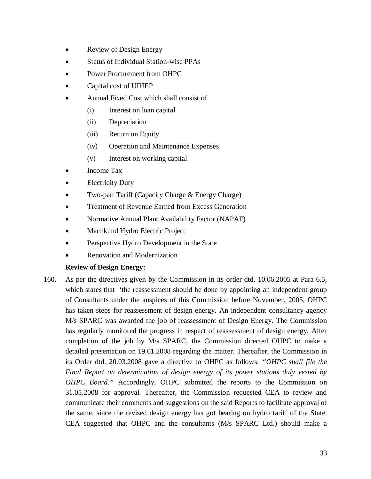- Review of Design Energy
- Status of Individual Station-wise PPAs
- Power Procurement from OHPC
- Capital cost of UIHEP
- Annual Fixed Cost which shall consist of
	- (i) Interest on loan capital
	- (ii) Depreciation
	- (iii) Return on Equity
	- (iv) Operation and Maintenance Expenses
	- (v) Interest on working capital
- Income Tax
- Electricity Duty
- Two-part Tariff (Capacity Charge & Energy Charge)
- Treatment of Revenue Earned from Excess Generation
- Normative Annual Plant Availability Factor (NAPAF)
- Machkund Hydro Electric Project
- Perspective Hydro Development in the State
- Renovation and Modernization

## **Review of Design Energy:**

160. As per the directives given by the Commission in its order dtd. 10.06.2005 at Para 6.5, which states that 'the reassessment should be done by appointing an independent group of Consultants under the auspices of this Commission before November, 2005, OHPC has taken steps for reassessment of design energy. An independent consultancy agency M/s SPARC was awarded the job of reassessment of Design Energy. The Commission has regularly monitored the progress in respect of reassessment of design energy. After completion of the job by M/s SPARC, the Commission directed OHPC to make a detailed presentation on 19.01.2008 regarding the matter. Thereafter, the Commission in its Order dtd. 20.03.2008 gave a directive to OHPC as follows: *"OHPC shall file the Final Report on determination of design energy of its power stations duly vested by OHPC Board."* Accordingly, OHPC submitted the reports to the Commission on 31.05.2008 for approval. Thereafter, the Commission requested CEA to review and communicate their comments and suggestions on the said Reports to facilitate approval of the same, since the revised design energy has got bearing on hydro tariff of the State. CEA suggested that OHPC and the consultants (M/s SPARC Ltd.) should make a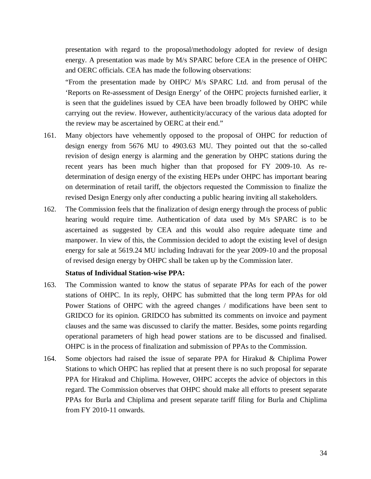presentation with regard to the proposal/methodology adopted for review of design energy. A presentation was made by M/s SPARC before CEA in the presence of OHPC and OERC officials. CEA has made the following observations:

"From the presentation made by OHPC/ M/s SPARC Ltd. and from perusal of the 'Reports on Re-assessment of Design Energy' of the OHPC projects furnished earlier, it is seen that the guidelines issued by CEA have been broadly followed by OHPC while carrying out the review. However, authenticity/accuracy of the various data adopted for the review may be ascertained by OERC at their end."

- 161. Many objectors have vehemently opposed to the proposal of OHPC for reduction of design energy from 5676 MU to 4903.63 MU. They pointed out that the so-called revision of design energy is alarming and the generation by OHPC stations during the recent years has been much higher than that proposed for FY 2009-10. As redetermination of design energy of the existing HEPs under OHPC has important bearing on determination of retail tariff, the objectors requested the Commission to finalize the revised Design Energy only after conducting a public hearing inviting all stakeholders.
- 162. The Commission feels that the finalization of design energy through the process of public hearing would require time. Authentication of data used by M/s SPARC is to be ascertained as suggested by CEA and this would also require adequate time and manpower. In view of this, the Commission decided to adopt the existing level of design energy for sale at 5619.24 MU including Indravati for the year 2009-10 and the proposal of revised design energy by OHPC shall be taken up by the Commission later.

### **Status of Individual Station-wise PPA:**

- 163. The Commission wanted to know the status of separate PPAs for each of the power stations of OHPC. In its reply, OHPC has submitted that the long term PPAs for old Power Stations of OHPC with the agreed changes / modifications have been sent to GRIDCO for its opinion. GRIDCO has submitted its comments on invoice and payment clauses and the same was discussed to clarify the matter. Besides, some points regarding operational parameters of high head power stations are to be discussed and finalised. OHPC is in the process of finalization and submission of PPAs to the Commission.
- 164. Some objectors had raised the issue of separate PPA for Hirakud & Chiplima Power Stations to which OHPC has replied that at present there is no such proposal for separate PPA for Hirakud and Chiplima. However, OHPC accepts the advice of objectors in this regard. The Commission observes that OHPC should make all efforts to present separate PPAs for Burla and Chiplima and present separate tariff filing for Burla and Chiplima from FY 2010-11 onwards.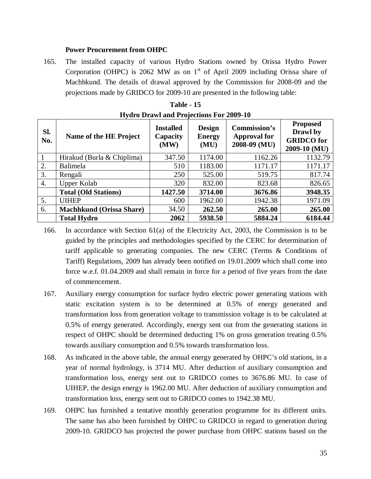### **Power Procurement from OHPC**

165. The installed capacity of various Hydro Stations owned by Orissa Hydro Power Corporation (OHPC) is 2062 MW as on  $1<sup>st</sup>$  of April 2009 including Orissa share of Machhkund. The details of drawal approved by the Commission for 2008-09 and the projections made by GRIDCO for 2009-10 are presented in the following table:

| SI.<br>No. | Name of the HE Project          | <b>Installed</b><br>Capacity<br>(MW) | <b>Design</b><br><b>Energy</b><br>(MU) | <b>Commission's</b><br><b>Approval for</b><br>2008-09 (MU) | <b>Proposed</b><br>Drawl by<br><b>GRIDCO</b> for<br>2009-10 (MU) |
|------------|---------------------------------|--------------------------------------|----------------------------------------|------------------------------------------------------------|------------------------------------------------------------------|
|            | Hirakud (Burla & Chiplima)      | 347.50                               | 1174.00                                | 1162.26                                                    | 1132.79                                                          |
| 2.         | <b>Balimela</b>                 | 510                                  | 1183.00                                | 1171.17                                                    | 1171.17                                                          |
| 3.         | Rengali                         | 250                                  | 525.00                                 | 519.75                                                     | 817.74                                                           |
| 4.         | Upper Kolab                     | 320                                  | 832.00                                 | 823.68                                                     | 826.65                                                           |
|            | <b>Total (Old Stations)</b>     | 1427.50                              | 3714.00                                | 3676.86                                                    | 3948.35                                                          |
| 5.         | <b>UIHEP</b>                    | 600                                  | 1962.00                                | 1942.38                                                    | 1971.09                                                          |
| 6.         | <b>Machhkund (Orissa Share)</b> | 34.50                                | 262.50                                 | 265.00                                                     | 265.00                                                           |
|            | <b>Total Hydro</b>              | 2062                                 | 5938.50                                | 5884.24                                                    | 6184.44                                                          |

| <b>Table - 15</b>                              |  |
|------------------------------------------------|--|
| <b>Hydro Drawl and Projections For 2009-10</b> |  |

- 167. Auxiliary energy consumption for surface hydro electric power generating stations with static excitation system is to be determined at 0.5% of energy generated and transformation loss from generation voltage to transmission voltage is to be calculated at 0.5% of energy generated. Accordingly, energy sent out from the generating stations in respect of OHPC should be determined deducting 1% on gross generation treating 0.5% towards auxiliary consumption and 0.5% towards transformation loss.
- 168. As indicated in the above table, the annual energy generated by OHPC's old stations, in a year of normal hydrology, is 3714 MU. After deduction of auxiliary consumption and transformation loss, energy sent out to GRIDCO comes to 3676.86 MU. In case of UIHEP, the design energy is 1962.00 MU. After deduction of auxiliary consumption and transformation loss, energy sent out to GRIDCO comes to 1942.38 MU.
- 169. OHPC has furnished a tentative monthly generation programme for its different units. The same has also been furnished by OHPC to GRIDCO in regard to generation during 2009-10. GRIDCO has projected the power purchase from OHPC stations based on the

<sup>166.</sup> In accordance with Section 61(a) of the Electricity Act, 2003, the Commission is to be guided by the principles and methodologies specified by the CERC for determination of tariff applicable to generating companies. The new CERC (Terms & Conditions of Tariff) Regulations, 2009 has already been notified on 19.01.2009 which shall come into force w.e.f. 01.04.2009 and shall remain in force for a period of five years from the date of commencement.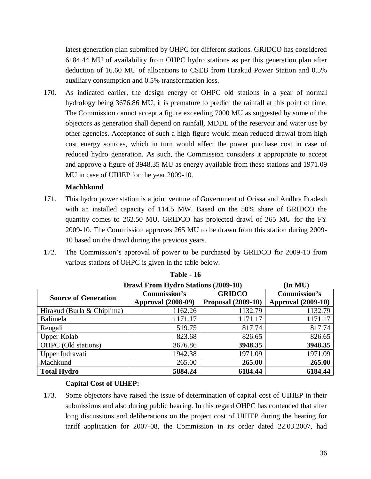latest generation plan submitted by OHPC for different stations. GRIDCO has considered 6184.44 MU of availability from OHPC hydro stations as per this generation plan after deduction of 16.60 MU of allocations to CSEB from Hirakud Power Station and 0.5% auxiliary consumption and 0.5% transformation loss.

170. As indicated earlier, the design energy of OHPC old stations in a year of normal hydrology being 3676.86 MU, it is premature to predict the rainfall at this point of time. The Commission cannot accept a figure exceeding 7000 MU as suggested by some of the objectors as generation shall depend on rainfall, MDDL of the reservoir and water use by other agencies. Acceptance of such a high figure would mean reduced drawal from high cost energy sources, which in turn would affect the power purchase cost in case of reduced hydro generation. As such, the Commission considers it appropriate to accept and approve a figure of 3948.35 MU as energy available from these stations and 1971.09 MU in case of UIHEP for the year 2009-10.

## **Machhkund**

- 171. This hydro power station is a joint venture of Government of Orissa and Andhra Pradesh with an installed capacity of 114.5 MW. Based on the 50% share of GRIDCO the quantity comes to 262.50 MU. GRIDCO has projected drawl of 265 MU for the FY 2009-10. The Commission approves 265 MU to be drawn from this station during 2009- 10 based on the drawl during the previous years.
- 172. The Commission's approval of power to be purchased by GRIDCO for 2009-10 from various stations of OHPC is given in the table below.

|                             | <b>Drawl From Hydro Stations (2009-10)</b>       |                                            | $(\text{In MU})$                                 |  |
|-----------------------------|--------------------------------------------------|--------------------------------------------|--------------------------------------------------|--|
| <b>Source of Generation</b> | <b>Commission's</b><br><b>Approval (2008-09)</b> | <b>GRIDCO</b><br><b>Proposal (2009-10)</b> | <b>Commission's</b><br><b>Approval</b> (2009-10) |  |
| Hirakud (Burla & Chiplima)  | 1162.26                                          | 1132.79                                    | 1132.79                                          |  |
| Balimela                    | 1171.17                                          | 1171.17                                    | 1171.17                                          |  |
| Rengali                     | 519.75                                           | 817.74                                     | 817.74                                           |  |
| <b>Upper Kolab</b>          | 823.68                                           | 826.65                                     | 826.65                                           |  |
| OHPC (Old stations)         | 3676.86                                          | 3948.35                                    | 3948.35                                          |  |
| Upper Indravati             | 1942.38                                          | 1971.09                                    | 1971.09                                          |  |
| Machkund                    | 265.00                                           | 265.00                                     | 265.00                                           |  |
| <b>Total Hydro</b>          | 5884.24                                          | 6184.44                                    | 6184.44                                          |  |

## **Table - 16**

#### **Capital Cost of UIHEP:**

173. Some objectors have raised the issue of determination of capital cost of UIHEP in their submissions and also during public hearing. In this regard OHPC has contended that after long discussions and deliberations on the project cost of UIHEP during the hearing for tariff application for 2007-08, the Commission in its order dated 22.03.2007, had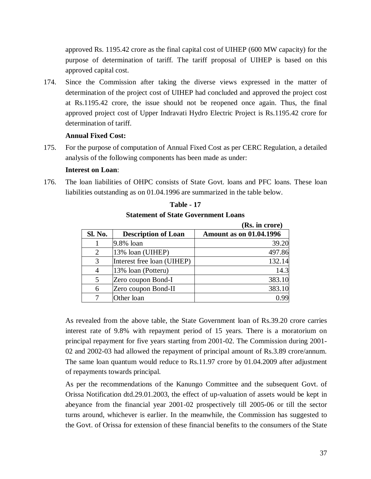approved Rs. 1195.42 crore as the final capital cost of UIHEP (600 MW capacity) for the purpose of determination of tariff. The tariff proposal of UIHEP is based on this approved capital cost.

174. Since the Commission after taking the diverse views expressed in the matter of determination of the project cost of UIHEP had concluded and approved the project cost at Rs.1195.42 crore, the issue should not be reopened once again. Thus, the final approved project cost of Upper Indravati Hydro Electric Project is Rs.1195.42 crore for determination of tariff.

### **Annual Fixed Cost:**

175. For the purpose of computation of Annual Fixed Cost as per CERC Regulation, a detailed analysis of the following components has been made as under:

### **Interest on Loan**:

176. The loan liabilities of OHPC consists of State Govt. loans and PFC loans. These loan liabilities outstanding as on 01.04.1996 are summarized in the table below.

|         |                            | (RS. In crore)                 |
|---------|----------------------------|--------------------------------|
| Sl. No. | <b>Description of Loan</b> | <b>Amount as on 01.04.1996</b> |
|         | 9.8% loan                  | 39.20                          |
| 2       | 13% loan (UIHEP)           | 497.86                         |
| 3       | Interest free loan (UIHEP) | 132.14                         |
|         | 13% loan (Potteru)         | 14.3                           |
|         | Zero coupon Bond-I         | 383.10                         |
| 6       | Zero coupon Bond-II        | 383.10                         |
|         | Other loan                 | በ 99                           |

**Table - 17 Statement of State Government Loans (Rs. in crore)**

As revealed from the above table, the State Government loan of Rs.39.20 crore carries interest rate of 9.8% with repayment period of 15 years. There is a moratorium on principal repayment for five years starting from 2001-02. The Commission during 2001- 02 and 2002-03 had allowed the repayment of principal amount of Rs.3.89 crore/annum. The same loan quantum would reduce to Rs.11.97 crore by 01.04.2009 after adjustment of repayments towards principal.

As per the recommendations of the Kanungo Committee and the subsequent Govt. of Orissa Notification dtd.29.01.2003, the effect of up-valuation of assets would be kept in abeyance from the financial year 2001-02 prospectively till 2005-06 or till the sector turns around, whichever is earlier. In the meanwhile, the Commission has suggested to the Govt. of Orissa for extension of these financial benefits to the consumers of the State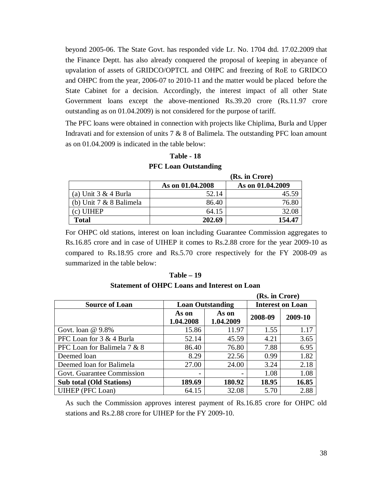beyond 2005-06. The State Govt. has responded vide Lr. No. 1704 dtd. 17.02.2009 that the Finance Deptt. has also already conquered the proposal of keeping in abeyance of upvalation of assets of GRIDCO/OPTCL and OHPC and freezing of RoE to GRIDCO and OHPC from the year, 2006-07 to 2010-11 and the matter would be placed before the State Cabinet for a decision. Accordingly, the interest impact of all other State Government loans except the above-mentioned Rs.39.20 crore (Rs.11.97 crore outstanding as on 01.04.2009) is not considered for the purpose of tariff.

The PFC loans were obtained in connection with projects like Chiplima, Burla and Upper Indravati and for extension of units 7 & 8 of Balimela. The outstanding PFC loan amount as on 01.04.2009 is indicated in the table below:

|                           |                  | (Rs. in Crore)   |
|---------------------------|------------------|------------------|
|                           | As on 01.04.2008 | As on 01.04.2009 |
| (a) Unit $3 & 4$ Burla    | 52.14            | 45.59            |
| (b) Unit $7 & 8$ Balimela | 86.40            | 76.80            |
| (c) UIHEP                 | 64.15            | 32.08            |
| <b>Total</b>              | 202.69           | 154.47           |

**Table - 18 PFC Loan Outstanding** 

For OHPC old stations, interest on loan including Guarantee Commission aggregates to Rs.16.85 crore and in case of UIHEP it comes to Rs.2.88 crore for the year 2009-10 as compared to Rs.18.95 crore and Rs.5.70 crore respectively for the FY 2008-09 as summarized in the table below:

#### **Table – 19**

| <b>Statement of OHPC Loans and Interest on Loan</b> |  |  |  |  |  |  |  |  |  |
|-----------------------------------------------------|--|--|--|--|--|--|--|--|--|
|-----------------------------------------------------|--|--|--|--|--|--|--|--|--|

| (Rs. in Crore)                  |                                          |                         |                         |         |  |  |  |  |  |
|---------------------------------|------------------------------------------|-------------------------|-------------------------|---------|--|--|--|--|--|
| <b>Source of Loan</b>           |                                          | <b>Loan Outstanding</b> | <b>Interest on Loan</b> |         |  |  |  |  |  |
|                                 | As on<br>As on<br>1.04.2009<br>1.04.2008 |                         | 2008-09                 | 2009-10 |  |  |  |  |  |
| Govt. loan $@9.8\%$             | 15.86                                    | 11.97                   | 1.55                    | 1.17    |  |  |  |  |  |
| PFC Loan for 3 & 4 Burla        | 52.14                                    | 45.59                   | 4.21                    | 3.65    |  |  |  |  |  |
| PFC Loan for Balimela 7 & 8     | 86.40                                    | 76.80                   | 7.88                    | 6.95    |  |  |  |  |  |
| Deemed loan                     | 8.29                                     | 22.56                   | 0.99                    | 1.82    |  |  |  |  |  |
| Deemed loan for Balimela        | 27.00                                    | 24.00                   | 3.24                    | 2.18    |  |  |  |  |  |
| Govt. Guarantee Commission      |                                          |                         | 1.08                    | 1.08    |  |  |  |  |  |
| <b>Sub total (Old Stations)</b> | 189.69                                   | 180.92                  | 18.95                   | 16.85   |  |  |  |  |  |
| UIHEP (PFC Loan)                | 64.15                                    | 32.08                   | 5.70                    | 2.88    |  |  |  |  |  |

As such the Commission approves interest payment of Rs.16.85 crore for OHPC old stations and Rs.2.88 crore for UIHEP for the FY 2009-10.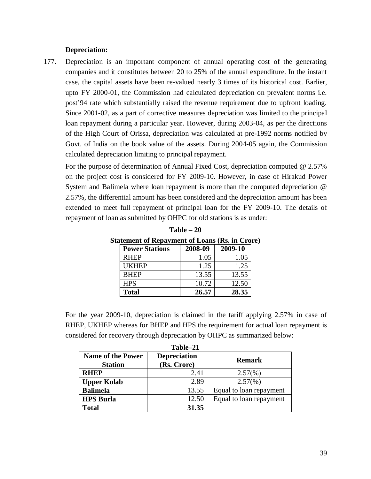#### **Depreciation:**

177. Depreciation is an important component of annual operating cost of the generating companies and it constitutes between 20 to 25% of the annual expenditure. In the instant case, the capital assets have been re-valued nearly 3 times of its historical cost. Earlier, upto FY 2000-01, the Commission had calculated depreciation on prevalent norms i.e. post'94 rate which substantially raised the revenue requirement due to upfront loading. Since 2001-02, as a part of corrective measures depreciation was limited to the principal loan repayment during a particular year. However, during 2003-04, as per the directions of the High Court of Orissa, depreciation was calculated at pre-1992 norms notified by Govt. of India on the book value of the assets. During 2004-05 again, the Commission calculated depreciation limiting to principal repayment.

For the purpose of determination of Annual Fixed Cost, depreciation computed @ 2.57% on the project cost is considered for FY 2009-10. However, in case of Hirakud Power System and Balimela where loan repayment is more than the computed depreciation @ 2.57%, the differential amount has been considered and the depreciation amount has been extended to meet full repayment of principal loan for the FY 2009-10. The details of repayment of loan as submitted by OHPC for old stations is as under:

| tatement of Repayment of Loans (RS. In Cro) |         |         |  |  |
|---------------------------------------------|---------|---------|--|--|
| <b>Power Stations</b>                       | 2008-09 | 2009-10 |  |  |
| <b>RHEP</b>                                 | 1.05    | 1.05    |  |  |
| <b>UKHEP</b>                                | 1.25    | 1.25    |  |  |
| <b>BHEP</b>                                 | 13.55   | 13.55   |  |  |
| <b>HPS</b>                                  | 10.72   | 12.50   |  |  |
| <b>Total</b>                                | 26.57   | 28.35   |  |  |

**Table – 20 Statement of Repayment of Loans (Rs. in Crore)**

For the year 2009-10, depreciation is claimed in the tariff applying 2.57% in case of RHEP, UKHEP whereas for BHEP and HPS the requirement for actual loan repayment is considered for recovery through depreciation by OHPC as summarized below:

|                                            | Table-21                           |                         |
|--------------------------------------------|------------------------------------|-------------------------|
| <b>Name of the Power</b><br><b>Station</b> | <b>Depreciation</b><br>(Rs. Crore) | <b>Remark</b>           |
| <b>RHEP</b>                                | 2.41                               | $2.57(\%)$              |
| <b>Upper Kolab</b>                         | 2.89                               | $2.57(\%)$              |
| <b>Balimela</b>                            | 13.55                              | Equal to loan repayment |
| <b>HPS Burla</b>                           | 12.50                              | Equal to loan repayment |
| Total                                      | 31.35                              |                         |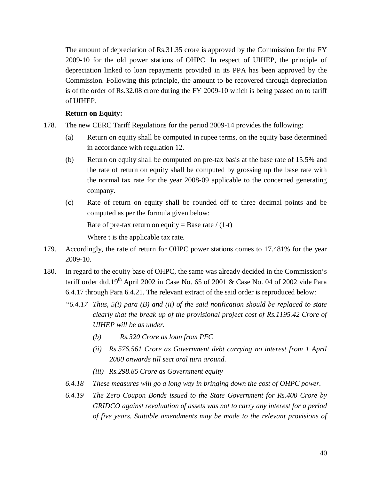The amount of depreciation of Rs.31.35 crore is approved by the Commission for the FY 2009-10 for the old power stations of OHPC. In respect of UIHEP, the principle of depreciation linked to loan repayments provided in its PPA has been approved by the Commission. Following this principle, the amount to be recovered through depreciation is of the order of Rs.32.08 crore during the FY 2009-10 which is being passed on to tariff of UIHEP.

### **Return on Equity:**

- 178. The new CERC Tariff Regulations for the period 2009-14 provides the following:
	- (a) Return on equity shall be computed in rupee terms, on the equity base determined in accordance with regulation 12.
	- (b) Return on equity shall be computed on pre-tax basis at the base rate of 15.5% and the rate of return on equity shall be computed by grossing up the base rate with the normal tax rate for the year 2008-09 applicable to the concerned generating company.
	- (c) Rate of return on equity shall be rounded off to three decimal points and be computed as per the formula given below: Rate of pre-tax return on equity = Base rate  $/(1-t)$ Where t is the applicable tax rate.
- 179. Accordingly, the rate of return for OHPC power stations comes to 17.481% for the year 2009-10.
- 180. In regard to the equity base of OHPC, the same was already decided in the Commission's tariff order dtd.19<sup>th</sup> April 2002 in Case No. 65 of 2001 & Case No. 04 of 2002 vide Para 6.4.17 through Para 6.4.21. The relevant extract of the said order is reproduced below:
	- *"6.4.17 Thus, 5(i) para (B) and (ii) of the said notification should be replaced to state clearly that the break up of the provisional project cost of Rs.1195.42 Crore of UIHEP will be as under.*
		- *(b) Rs.320 Crore as loan from PFC*
		- *(ii) Rs.576.561 Crore as Government debt carrying no interest from 1 April 2000 onwards till sect oral turn around.*
		- *(iii) Rs.298.85 Crore as Government equity*
	- *6.4.18 These measures will go a long way in bringing down the cost of OHPC power.*
	- *6.4.19 The Zero Coupon Bonds issued to the State Government for Rs.400 Crore by GRIDCO against revaluation of assets was not to carry any interest for a period of five years. Suitable amendments may be made to the relevant provisions of*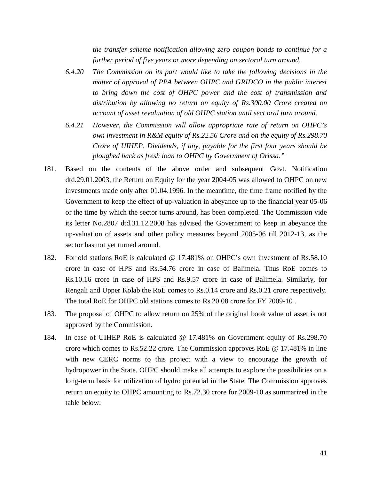*the transfer scheme notification allowing zero coupon bonds to continue for a further period of five years or more depending on sectoral turn around.*

- *6.4.20 The Commission on its part would like to take the following decisions in the matter of approval of PPA between OHPC and GRIDCO in the public interest to bring down the cost of OHPC power and the cost of transmission and distribution by allowing no return on equity of Rs.300.00 Crore created on account of asset revaluation of old OHPC station until sect oral turn around.*
- *6.4.21 However, the Commission will allow appropriate rate of return on OHPC's own investment in R&M equity of Rs.22.56 Crore and on the equity of Rs.298.70 Crore of UIHEP. Dividends, if any, payable for the first four years should be ploughed back as fresh loan to OHPC by Government of Orissa."*
- 181. Based on the contents of the above order and subsequent Govt. Notification dtd.29.01.2003, the Return on Equity for the year 2004-05 was allowed to OHPC on new investments made only after 01.04.1996. In the meantime, the time frame notified by the Government to keep the effect of up-valuation in abeyance up to the financial year 05-06 or the time by which the sector turns around, has been completed. The Commission vide its letter No.2807 dtd.31.12.2008 has advised the Government to keep in abeyance the up-valuation of assets and other policy measures beyond 2005-06 till 2012-13, as the sector has not yet turned around.
- 182. For old stations RoE is calculated @ 17.481% on OHPC's own investment of Rs.58.10 crore in case of HPS and Rs.54.76 crore in case of Balimela. Thus RoE comes to Rs.10.16 crore in case of HPS and Rs.9.57 crore in case of Balimela. Similarly, for Rengali and Upper Kolab the RoE comes to Rs.0.14 crore and Rs.0.21 crore respectively. The total RoE for OHPC old stations comes to Rs.20.08 crore for FY 2009-10 .
- 183. The proposal of OHPC to allow return on 25% of the original book value of asset is not approved by the Commission.
- 184. In case of UIHEP RoE is calculated @ 17.481% on Government equity of Rs.298.70 crore which comes to Rs.52.22 crore. The Commission approves RoE @ 17.481% in line with new CERC norms to this project with a view to encourage the growth of hydropower in the State. OHPC should make all attempts to explore the possibilities on a long-term basis for utilization of hydro potential in the State. The Commission approves return on equity to OHPC amounting to Rs.72.30 crore for 2009-10 as summarized in the table below: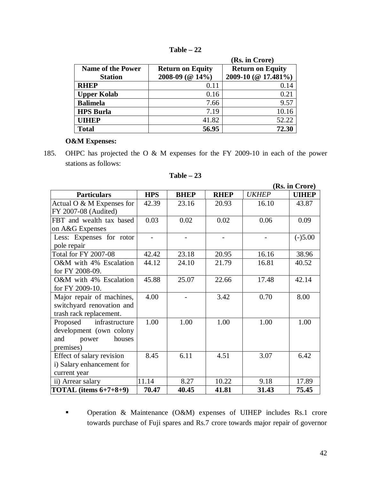| Table |  |
|-------|--|
|-------|--|

|                          |                         | (Rs. in Crore)          |
|--------------------------|-------------------------|-------------------------|
| <b>Name of the Power</b> | <b>Return on Equity</b> | <b>Return on Equity</b> |
| <b>Station</b>           | 2008-09 (@ 14%)         | 2009-10 (@ 17.481%)     |
| <b>RHEP</b>              | 0.11                    | 0.14                    |
| <b>Upper Kolab</b>       | 0.16                    | 0.21                    |
| <b>Balimela</b>          | 7.66                    | 9.57                    |
| <b>HPS Burla</b>         | 7.19                    | 10.16                   |
| <b>UIHEP</b>             | 41.82                   | 52.22                   |
| <b>Total</b>             | 56.95                   | 72.30                   |

## **O&M Expenses:**

185. OHPC has projected the O & M expenses for the FY 2009-10 in each of the power stations as follows:

|                             |            |             |             |              | (Rs. in Crore) |
|-----------------------------|------------|-------------|-------------|--------------|----------------|
| <b>Particulars</b>          | <b>HPS</b> | <b>BHEP</b> | <b>RHEP</b> | <b>UKHEP</b> | <b>UIHEP</b>   |
| Actual O & M Expenses for   | 42.39      | 23.16       | 20.93       | 16.10        | 43.87          |
| FY 2007-08 (Audited)        |            |             |             |              |                |
| FBT and wealth tax based    | 0.03       | 0.02        | 0.02        | 0.06         | 0.09           |
| on A&G Expenses             |            |             |             |              |                |
| Less: Expenses for rotor    |            |             |             |              | $(-)5.00$      |
| pole repair                 |            |             |             |              |                |
| <b>Total for FY 2007-08</b> | 42.42      | 23.18       | 20.95       | 16.16        | 38.96          |
| O&M with 4% Escalation      | 44.12      | 24.10       | 21.79       | 16.81        | 40.52          |
| for FY 2008-09.             |            |             |             |              |                |
| O&M with 4% Escalation      | 45.88      | 25.07       | 22.66       | 17.48        | 42.14          |
| for FY 2009-10.             |            |             |             |              |                |
| Major repair of machines,   | 4.00       |             | 3.42        | 0.70         | 8.00           |
| switchyard renovation and   |            |             |             |              |                |
| trash rack replacement.     |            |             |             |              |                |
| Proposed infrastructure     | 1.00       | 1.00        | 1.00        | 1.00         | 1.00           |
| development (own colony     |            |             |             |              |                |
| houses<br>power<br>and      |            |             |             |              |                |
| premises)                   |            |             |             |              |                |
| Effect of salary revision   | 8.45       | 6.11        | 4.51        | 3.07         | 6.42           |
| i) Salary enhancement for   |            |             |             |              |                |
| current year                |            |             |             |              |                |
| ii) Arrear salary           | 11.14      | 8.27        | 10.22       | 9.18         | 17.89          |
| TOTAL (items $6+7+8+9$ )    | 70.47      | 40.45       | 41.81       | 31.43        | 75.45          |

| Table |  |
|-------|--|
|-------|--|

**•** Operation & Maintenance (O&M) expenses of UIHEP includes Rs.1 crore towards purchase of Fuji spares and Rs.7 crore towards major repair of governor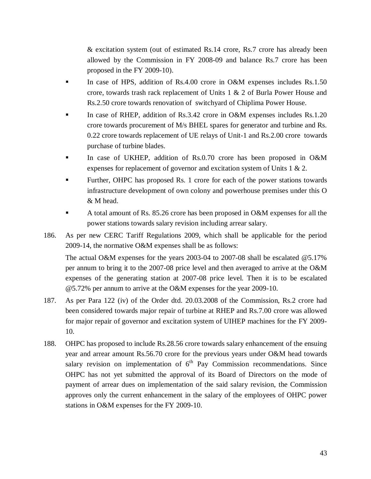& excitation system (out of estimated Rs.14 crore, Rs.7 crore has already been allowed by the Commission in FY 2008-09 and balance Rs.7 crore has been proposed in the FY 2009-10).

- In case of HPS, addition of Rs.4.00 crore in O&M expenses includes Rs.1.50 crore, towards trash rack replacement of Units 1 & 2 of Burla Power House and Rs.2.50 crore towards renovation of switchyard of Chiplima Power House.
- In case of RHEP, addition of Rs.3.42 crore in O&M expenses includes Rs.1.20 crore towards procurement of M/s BHEL spares for generator and turbine and Rs. 0.22 crore towards replacement of UE relays of Unit-1 and Rs.2.00 crore towards purchase of turbine blades.
- In case of UKHEP, addition of Rs.0.70 crore has been proposed in O&M expenses for replacement of governor and excitation system of Units 1 & 2.
- Further, OHPC has proposed Rs. 1 crore for each of the power stations towards infrastructure development of own colony and powerhouse premises under this O & M head.
- A total amount of Rs. 85.26 crore has been proposed in O&M expenses for all the power stations towards salary revision including arrear salary.
- 186. As per new CERC Tariff Regulations 2009, which shall be applicable for the period 2009-14, the normative O&M expenses shall be as follows:

The actual O&M expenses for the years 2003-04 to 2007-08 shall be escalated @5.17% per annum to bring it to the 2007-08 price level and then averaged to arrive at the O&M expenses of the generating station at 2007-08 price level. Then it is to be escalated @5.72% per annum to arrive at the O&M expenses for the year 2009-10.

- 187. As per Para 122 (iv) of the Order dtd. 20.03.2008 of the Commission, Rs.2 crore had been considered towards major repair of turbine at RHEP and Rs.7.00 crore was allowed for major repair of governor and excitation system of UIHEP machines for the FY 2009- 10.
- 188. OHPC has proposed to include Rs.28.56 crore towards salary enhancement of the ensuing year and arrear amount Rs.56.70 crore for the previous years under O&M head towards salary revision on implementation of  $6<sup>th</sup>$  Pay Commission recommendations. Since OHPC has not yet submitted the approval of its Board of Directors on the mode of payment of arrear dues on implementation of the said salary revision, the Commission approves only the current enhancement in the salary of the employees of OHPC power stations in O&M expenses for the FY 2009-10.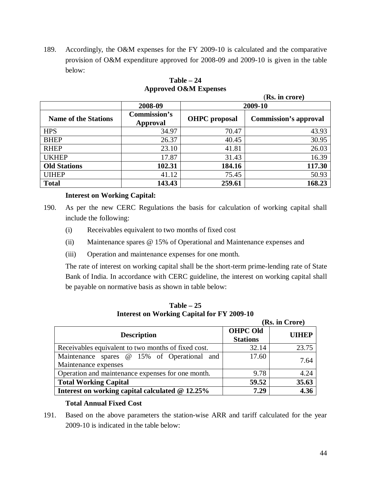189. Accordingly, the O&M expenses for the FY 2009-10 is calculated and the comparative provision of O&M expenditure approved for 2008-09 and 2009-10 is given in the table below:

| (KS. III Crore)             |                          |                      |                              |  |  |
|-----------------------------|--------------------------|----------------------|------------------------------|--|--|
|                             | 2008-09                  | 2009-10              |                              |  |  |
| <b>Name of the Stations</b> | Commission's<br>Approval | <b>OHPC</b> proposal | <b>Commission's approval</b> |  |  |
| <b>HPS</b>                  | 34.97                    | 70.47                | 43.93                        |  |  |
| <b>BHEP</b>                 | 26.37                    | 40.45                | 30.95                        |  |  |
| <b>RHEP</b>                 | 23.10                    | 41.81                | 26.03                        |  |  |
| <b>UKHEP</b>                | 17.87                    | 31.43                | 16.39                        |  |  |
| <b>Old Stations</b>         | 102.31                   | 184.16               | 117.30                       |  |  |
| <b>UIHEP</b>                | 41.12                    | 75.45                | 50.93                        |  |  |
| <b>Total</b>                | 143.43                   | 259.61               | 168.23                       |  |  |

## **Table – 24 Approved O&M Expenses**

(**Rs. in crore)**

## **Interest on Working Capital:**

- 190. As per the new CERC Regulations the basis for calculation of working capital shall include the following:
	- (i) Receivables equivalent to two months of fixed cost
	- (ii) Maintenance spares @ 15% of Operational and Maintenance expenses and
	- (iii) Operation and maintenance expenses for one month.

The rate of interest on working capital shall be the short-term prime-lending rate of State Bank of India. In accordance with CERC guideline, the interest on working capital shall be payable on normative basis as shown in table below:

**Table – 25 Interest on Working Capital for FY 2009-10** 

|                                                     | (Rs. in Crore)  |              |  |
|-----------------------------------------------------|-----------------|--------------|--|
| <b>Description</b>                                  | <b>OHPC Old</b> | <b>UIHEP</b> |  |
|                                                     | <b>Stations</b> |              |  |
| Receivables equivalent to two months of fixed cost. | 32.14           | 23.75        |  |
| Maintenance spares @ 15% of Operational and         | 17.60           | 7.64         |  |
| Maintenance expenses                                |                 |              |  |
| Operation and maintenance expenses for one month.   | 9.78            | 4.24         |  |
| <b>Total Working Capital</b>                        | 59.52           | 35.63        |  |
| Interest on working capital calculated @ 12.25%     | 7.29            | 4.36         |  |

### **Total Annual Fixed Cost**

191. Based on the above parameters the station-wise ARR and tariff calculated for the year 2009-10 is indicated in the table below: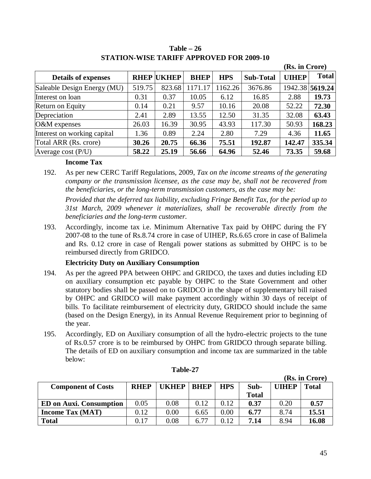|                             |        |                   |             |            |                  | (Rs. in Crore) |                 |
|-----------------------------|--------|-------------------|-------------|------------|------------------|----------------|-----------------|
| <b>Details of expenses</b>  |        | <b>RHEP UKHEP</b> | <b>BHEP</b> | <b>HPS</b> | <b>Sub-Total</b> | <b>UIHEP</b>   | <b>Total</b>    |
| Saleable Design Energy (MU) | 519.75 | 823.68            | 1171.17     | 1162.26    | 3676.86          |                | 1942.38 5619.24 |
| Interest on loan            | 0.31   | 0.37              | 10.05       | 6.12       | 16.85            | 2.88           | 19.73           |
| Return on Equity            | 0.14   | 0.21              | 9.57        | 10.16      | 20.08            | 52.22          | 72.30           |
| Depreciation                | 2.41   | 2.89              | 13.55       | 12.50      | 31.35            | 32.08          | 63.43           |
| O&M expenses                | 26.03  | 16.39             | 30.95       | 43.93      | 117.30           | 50.93          | 168.23          |
| Interest on working capital | 1.36   | 0.89              | 2.24        | 2.80       | 7.29             | 4.36           | 11.65           |
| Total ARR (Rs. crore)       | 30.26  | 20.75             | 66.36       | 75.51      | 192.87           | 142.47         | 335.34          |
| Average cost $(P/U)$        | 58.22  | 25.19             | 56.66       | 64.96      | 52.46            | 73.35          | 59.68           |

**Table – 26 STATION-WISE TARIFF APPROVED FOR 2009-10**

### **Income Tax**

192. As per new CERC Tariff Regulations, 2009, *Tax on the income streams of the generating company or the transmission licensee, as the case may be, shall not be recovered from the beneficiaries, or the long-term transmission customers, as the case may be:*

*Provided that the deferred tax liability, excluding Fringe Benefit Tax, for the period up to 31st March, 2009 whenever it materializes, shall be recoverable directly from the beneficiaries and the long-term customer.*

193. Accordingly, income tax i.e. Minimum Alternative Tax paid by OHPC during the FY 2007-08 to the tune of Rs.8.74 crore in case of UIHEP, Rs.6.65 crore in case of Balimela and Rs. 0.12 crore in case of Rengali power stations as submitted by OHPC is to be reimbursed directly from GRIDCO.

## **Electricity Duty on Auxiliary Consumption**

- 194. As per the agreed PPA between OHPC and GRIDCO, the taxes and duties including ED on auxiliary consumption etc payable by OHPC to the State Government and other statutory bodies shall be passed on to GRIDCO in the shape of supplementary bill raised by OHPC and GRIDCO will make payment accordingly within 30 days of receipt of bills. To facilitate reimbursement of electricity duty, GRIDCO should include the same (based on the Design Energy), in its Annual Revenue Requirement prior to beginning of the year.
- 195. Accordingly, ED on Auxiliary consumption of all the hydro-electric projects to the tune of Rs.0.57 crore is to be reimbursed by OHPC from GRIDCO through separate billing. The details of ED on auxiliary consumption and income tax are summarized in the table below:

|                                |             |              |             |            |              |       | (Rs. in Crore) |
|--------------------------------|-------------|--------------|-------------|------------|--------------|-------|----------------|
| <b>Component of Costs</b>      | <b>RHEP</b> | <b>UKHEP</b> | <b>BHEP</b> | <b>HPS</b> | Sub-         | UIHEP | <b>Total</b>   |
|                                |             |              |             |            | <b>Total</b> |       |                |
| <b>ED on Auxi. Consumption</b> | 0.05        | 0.08         | 0.12        | 0.12       | 0.37         | 0.20  | 0.57           |
| <b>Income Tax (MAT)</b>        | 0.12        | 0.00         | 6.65        | 0.00       | 6.77         | 8.74  | 15.51          |
| <b>Total</b>                   | 0.17        | 0.08         | 6.77        | 0.12       | 7.14         | 8.94  | 16.08          |

**Table-27**

 $\mathbf{r}$  in  $\alpha$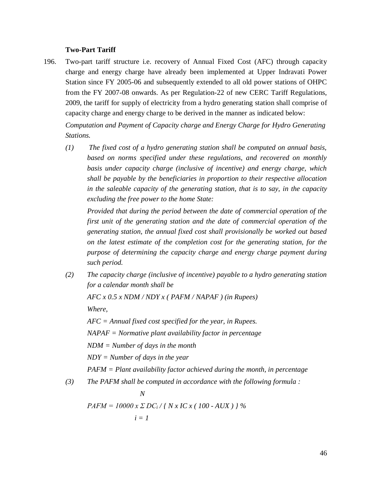### **Two-Part Tariff**

196. Two-part tariff structure i.e. recovery of Annual Fixed Cost (AFC) through capacity charge and energy charge have already been implemented at Upper Indravati Power Station since FY 2005-06 and subsequently extended to all old power stations of OHPC from the FY 2007-08 onwards. As per Regulation-22 of new CERC Tariff Regulations, 2009, the tariff for supply of electricity from a hydro generating station shall comprise of capacity charge and energy charge to be derived in the manner as indicated below:

*Computation and Payment of Capacity charge and Energy Charge for Hydro Generating Stations.*

*(1) The fixed cost of a hydro generating station shall be computed on annual basis, based on norms specified under these regulations, and recovered on monthly basis under capacity charge (inclusive of incentive) and energy charge, which shall be payable by the beneficiaries in proportion to their respective allocation in the saleable capacity of the generating station, that is to say, in the capacity excluding the free power to the home State:*

*Provided that during the period between the date of commercial operation of the first unit of the generating station and the date of commercial operation of the generating station, the annual fixed cost shall provisionally be worked out based on the latest estimate of the completion cost for the generating station, for the purpose of determining the capacity charge and energy charge payment during such period.*

*(2) The capacity charge (inclusive of incentive) payable to a hydro generating station for a calendar month shall be*

*AFC x 0.5 x NDM / NDY x ( PAFM / NAPAF ) (in Rupees)*

*Where,*

*AFC = Annual fixed cost specified for the year, in Rupees. NAPAF = Normative plant availability factor in percentage NDM = Number of days in the month NDY = Number of days in the year PAFM = Plant availability factor achieved during the month, in percentage*

*(3) The PAFM shall be computed in accordance with the following formula :*

$$
N
$$
  
PAFM = 10000 x  $\Sigma$  DC<sub>i</sub> / { N x IC x ( 100 - AUX ) } %  
 $i = 1$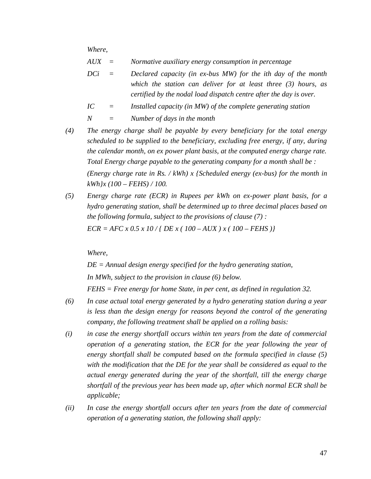*Where,*

- *AUX = Normative auxiliary energy consumption in percentage*
- *DCi = Declared capacity (in ex-bus MW) for the ith day of the month which the station can deliver for at least three (3) hours, as certified by the nodal load dispatch centre after the day is over.*
- *IC = Installed capacity (in MW) of the complete generating station*
- *N = Number of days in the month*
- *(4) The energy charge shall be payable by every beneficiary for the total energy scheduled to be supplied to the beneficiary, excluding free energy, if any, during the calendar month, on ex power plant basis, at the computed energy charge rate. Total Energy charge payable to the generating company for a month shall be : (Energy charge rate in Rs. / kWh) x {Scheduled energy (ex-bus) for the month in kWh}x (100 – FEHS) / 100.*
- *(5) Energy charge rate (ECR) in Rupees per kWh on ex-power plant basis, for a hydro generating station, shall be determined up to three decimal places based on the following formula, subject to the provisions of clause (7) : ECR = AFC x 0.5 x 10 / { DE x ( 100 – AUX ) x ( 100 – FEHS )}*

*Where,*

*DE = Annual design energy specified for the hydro generating station, In MWh, subject to the provision in clause (6) below.*

*FEHS = Free energy for home State, in per cent, as defined in regulation 32.*

- *(6) In case actual total energy generated by a hydro generating station during a year is less than the design energy for reasons beyond the control of the generating company, the following treatment shall be applied on a rolling basis:*
- *(i) in case the energy shortfall occurs within ten years from the date of commercial operation of a generating station, the ECR for the year following the year of energy shortfall shall be computed based on the formula specified in clause (5) with the modification that the DE for the year shall be considered as equal to the actual energy generated during the year of the shortfall, till the energy charge shortfall of the previous year has been made up, after which normal ECR shall be applicable;*
- *(ii) In case the energy shortfall occurs after ten years from the date of commercial operation of a generating station, the following shall apply:*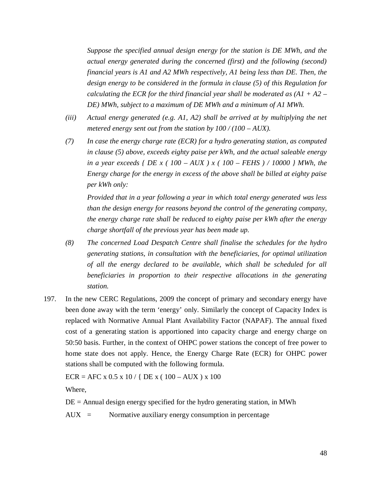*Suppose the specified annual design energy for the station is DE MWh, and the actual energy generated during the concerned (first) and the following (second) financial years is A1 and A2 MWh respectively, A1 being less than DE. Then, the design energy to be considered in the formula in clause (5) of this Regulation for calculating the ECR for the third financial year shall be moderated as (A1 + A2 – DE) MWh, subject to a maximum of DE MWh and a minimum of A1 MWh.*

- *(iii) Actual energy generated (e.g. A1, A2) shall be arrived at by multiplying the net metered energy sent out from the station by 100 / (100 – AUX).*
- *(7) In case the energy charge rate (ECR) for a hydro generating station, as computed in clause (5) above, exceeds eighty paise per kWh, and the actual saleable energy in a year exceeds { DE x ( 100 – AUX ) x ( 100 – FEHS ) / 10000 } MWh, the Energy charge for the energy in excess of the above shall be billed at eighty paise per kWh only:*

*Provided that in a year following a year in which total energy generated was less than the design energy for reasons beyond the control of the generating company, the energy charge rate shall be reduced to eighty paise per kWh after the energy charge shortfall of the previous year has been made up.*

- *(8) The concerned Load Despatch Centre shall finalise the schedules for the hydro generating stations, in consultation with the beneficiaries, for optimal utilization of all the energy declared to be available, which shall be scheduled for all beneficiaries in proportion to their respective allocations in the generating station.*
- 197. In the new CERC Regulations, 2009 the concept of primary and secondary energy have been done away with the term 'energy' only. Similarly the concept of Capacity Index is replaced with Normative Annual Plant Availability Factor (NAPAF). The annual fixed cost of a generating station is apportioned into capacity charge and energy charge on 50:50 basis. Further, in the context of OHPC power stations the concept of free power to home state does not apply. Hence, the Energy Charge Rate (ECR) for OHPC power stations shall be computed with the following formula.

ECR = AFC x 0.5 x 10 / { DE x (  $100 - AUX$  ) x 100

Where,

 $DE =$  Annual design energy specified for the hydro generating station, in MWh

AUX = Normative auxiliary energy consumption in percentage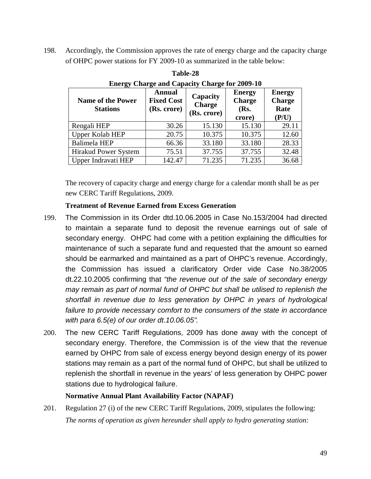198. Accordingly, the Commission approves the rate of energy charge and the capacity charge of OHPC power stations for FY 2009-10 as summarized in the table below:

| <b>Name of the Power</b><br><b>Stations</b> | <b>Annual</b><br><b>Fixed Cost</b><br>(Rs. crore) | Capacity<br><b>Charge</b><br>(Rs. crore) | <b>Energy</b><br><b>Charge</b><br>(Rs.<br>crore) | <b>Energy</b><br><b>Charge</b><br>Rate<br>(P/U) |
|---------------------------------------------|---------------------------------------------------|------------------------------------------|--------------------------------------------------|-------------------------------------------------|
| Rengali HEP                                 | 30.26                                             | 15.130                                   | 15.130                                           | 29.11                                           |
| <b>Upper Kolab HEP</b>                      | 20.75                                             | 10.375                                   | 10.375                                           | 12.60                                           |
| <b>Balimela HEP</b>                         | 66.36                                             | 33.180                                   | 33.180                                           | 28.33                                           |
| Hirakud Power System                        | 75.51                                             | 37.755                                   | 37.755                                           | 32.48                                           |
| Upper Indravati HEP                         | 142.47                                            | 71.235                                   | 71.235                                           | 36.68                                           |

**Table-28 Energy Charge and Capacity Charge for 2009-10**

The recovery of capacity charge and energy charge for a calendar month shall be as per new CERC Tariff Regulations, 2009.

# **Treatment of Revenue Earned from Excess Generation**

- 199. The Commission in its Order dtd.10.06.2005 in Case No.153/2004 had directed to maintain a separate fund to deposit the revenue earnings out of sale of secondary energy. OHPC had come with a petition explaining the difficulties for maintenance of such a separate fund and requested that the amount so earned should be earmarked and maintained as a part of OHPC's revenue. Accordingly, the Commission has issued a clarificatory Order vide Case No.38/2005 dt.22.10.2005 confirming that *"the revenue out of the sale of secondary energy may remain as part of normal fund of OHPC but shall be utilised to replenish the shortfall in revenue due to less generation by OHPC in years of hydrological failure to provide necessary comfort to the consumers of the state in accordance with para 6.5(e) of our order dt.10.06.05".*
- 200. The new CERC Tariff Regulations, 2009 has done away with the concept of secondary energy. Therefore, the Commission is of the view that the revenue earned by OHPC from sale of excess energy beyond design energy of its power stations may remain as a part of the normal fund of OHPC, but shall be utilized to replenish the shortfall in revenue in the years' of less generation by OHPC power stations due to hydrological failure.

## **Normative Annual Plant Availability Factor (NAPAF)**

201. Regulation 27 (i) of the new CERC Tariff Regulations, 2009, stipulates the following: *The norms of operation as given hereunder shall apply to hydro generating station:*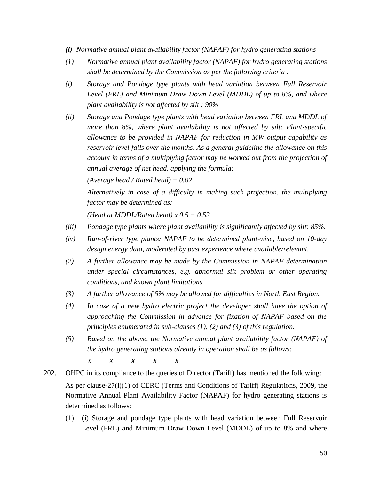- *(i) Normative annual plant availability factor (NAPAF) for hydro generating stations*
- *(1) Normative annual plant availability factor (NAPAF) for hydro generating stations shall be determined by the Commission as per the following criteria :*
- *(i) Storage and Pondage type plants with head variation between Full Reservoir Level (FRL) and Minimum Draw Down Level (MDDL) of up to 8%, and where plant availability is not affected by silt : 90%*
- *(ii) Storage and Pondage type plants with head variation between FRL and MDDL of more than 8%, where plant availability is not affected by silt: Plant-specific allowance to be provided in NAPAF for reduction in MW output capability as reservoir level falls over the months. As a general guideline the allowance on this account in terms of a multiplying factor may be worked out from the projection of annual average of net head, applying the formula:*

*(Average head / Rated head) + 0.02*

*Alternatively in case of a difficulty in making such projection, the multiplying factor may be determined as:*

*(Head at MDDL/Rated head) x 0.5 + 0.52*

- *(iii) Pondage type plants where plant availability is significantly affected by silt: 85%.*
- *(iv) Run-of-river type plants: NAPAF to be determined plant-wise, based on 10-day design energy data, moderated by past experience where available/relevant.*
- *(2) A further allowance may be made by the Commission in NAPAF determination under special circumstances, e.g. abnormal silt problem or other operating conditions, and known plant limitations.*
- *(3) A further allowance of 5% may be allowed for difficulties in North East Region.*
- *(4) In case of a new hydro electric project the developer shall have the option of approaching the Commission in advance for fixation of NAPAF based on the principles enumerated in sub-clauses (1), (2) and (3) of this regulation.*
- *(5) Based on the above, the Normative annual plant availability factor (NAPAF) of the hydro generating stations already in operation shall be as follows:*

*X X X X X*

202. OHPC in its compliance to the queries of Director (Tariff) has mentioned the following: As per clause-27(i)(1) of CERC (Terms and Conditions of Tariff) Regulations, 2009, the Normative Annual Plant Availability Factor (NAPAF) for hydro generating stations is determined as follows:

(1) (i) Storage and pondage type plants with head variation between Full Reservoir Level (FRL) and Minimum Draw Down Level (MDDL) of up to 8% and where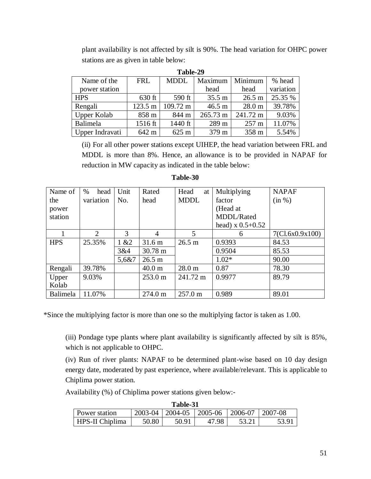plant availability is not affected by silt is 90%. The head variation for OHPC power stations are as given in table below:

| 1.avil-27       |            |                    |                  |                   |           |  |  |
|-----------------|------------|--------------------|------------------|-------------------|-----------|--|--|
| Name of the     | <b>FRL</b> | <b>MDDL</b>        | Maximum          | Minimum           | % head    |  |  |
| power station   |            |                    | head             | head              | variation |  |  |
| <b>HPS</b>      | 630 ft     | 590 ft             | $35.5 \text{ m}$ | 26.5 m            | 25.35 %   |  |  |
| Rengali         | 123.5 m    | $109.72 \text{ m}$ | 46.5 m           | 28.0 <sub>m</sub> | 39.78%    |  |  |
| Upper Kolab     | 858 m      | 844 m              | 265.73 m         | 241.72 m          | 9.03%     |  |  |
| Balimela        | 1516 ft    | 1440 ft            | 289 m            | $257 \text{ m}$   | 11.07%    |  |  |
| Upper Indravati | 642 m      | 625 m              | 379 m            | 358 m             | 5.54%     |  |  |

**Table-29**

(ii) For all other power stations except UIHEP, the head variation between FRL and MDDL is more than 8%. Hence, an allowance is to be provided in NAPAF for reduction in MW capacity as indicated in the table below:

| Name of    | $\%$<br>head | Unit   | Rated             | Head<br>at        | Multiplying         | <b>NAPAF</b>    |
|------------|--------------|--------|-------------------|-------------------|---------------------|-----------------|
| the        | variation    | No.    | head              | <b>MDDL</b>       | factor              | (in %)          |
| power      |              |        |                   |                   | (Head at            |                 |
| station    |              |        |                   |                   | MDDL/Rated          |                 |
|            |              |        |                   |                   | head) $x\ 0.5+0.52$ |                 |
|            | 2            | 3      | $\overline{4}$    | 5                 | 6                   | 7(Cl.6x0.9x100) |
| <b>HPS</b> | 25.35%       | 1 & 22 | $31.6 \text{ m}$  | 26.5 m            | 0.9393              | 84.53           |
|            |              | 3&4    | $30.78 \text{ m}$ |                   | 0.9504              | 85.53           |
|            |              | 5,6&7  | 26.5 m            |                   | $1.02*$             | 90.00           |
| Rengali    | 39.78%       |        | 40.0 <sub>m</sub> | 28.0 <sub>m</sub> | 0.87                | 78.30           |
| Upper      | 9.03%        |        | $253.0 \text{ m}$ | 241.72 m          | 0.9977              | 89.79           |
| Kolab      |              |        |                   |                   |                     |                 |
| Balimela   | 11.07%       |        | $274.0 \text{ m}$ | $257.0 \text{ m}$ | 0.989               | 89.01           |

**Table-30**

\*Since the multiplying factor is more than one so the multiplying factor is taken as 1.00.

(iii) Pondage type plants where plant availability is significantly affected by silt is 85%, which is not applicable to OHPC.

(iv) Run of river plants: NAPAF to be determined plant-wise based on 10 day design energy date, moderated by past experience, where available/relevant. This is applicable to Chiplima power station.

Availability (%) of Chiplima power stations given below:-

| Table-31        |         |         |            |         |         |
|-----------------|---------|---------|------------|---------|---------|
| Power station   | 2003-04 | 2004-05 | $ 2005-06$ | 2006-07 | 2007-08 |
| HPS-II Chiplima | 50.80   | 50.91   | 47.98      |         | 53.9    |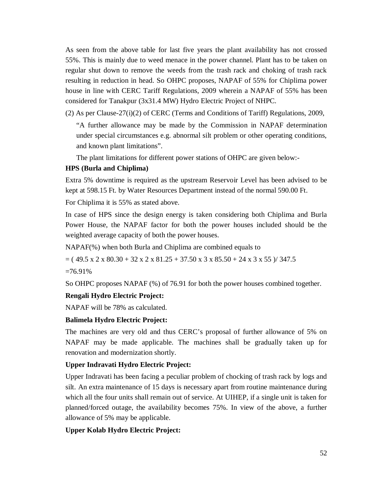As seen from the above table for last five years the plant availability has not crossed 55%. This is mainly due to weed menace in the power channel. Plant has to be taken on regular shut down to remove the weeds from the trash rack and choking of trash rack resulting in reduction in head. So OHPC proposes, NAPAF of 55% for Chiplima power house in line with CERC Tariff Regulations, 2009 wherein a NAPAF of 55% has been considered for Tanakpur (3x31.4 MW) Hydro Electric Project of NHPC.

 $(2)$  As per Clause-27(i)(2) of CERC (Terms and Conditions of Tariff) Regulations, 2009,

"A further allowance may be made by the Commission in NAPAF determination under special circumstances e.g. abnormal silt problem or other operating conditions, and known plant limitations".

The plant limitations for different power stations of OHPC are given below:-

### **HPS (Burla and Chiplima)**

Extra 5% downtime is required as the upstream Reservoir Level has been advised to be kept at 598.15 Ft. by Water Resources Department instead of the normal 590.00 Ft.

For Chiplima it is 55% as stated above.

In case of HPS since the design energy is taken considering both Chiplima and Burla Power House, the NAPAF factor for both the power houses included should be the weighted average capacity of both the power houses.

NAPAF(%) when both Burla and Chiplima are combined equals to

 $=$  ( 49.5 x 2 x 80.30 + 32 x 2 x 81.25 + 37.50 x 3 x 85.50 + 24 x 3 x 55 )/ 347.5

 $=76.91\%$ 

So OHPC proposes NAPAF (%) of 76.91 for both the power houses combined together.

#### **Rengali Hydro Electric Project:**

NAPAF will be 78% as calculated.

#### **Balimela Hydro Electric Project:**

The machines are very old and thus CERC's proposal of further allowance of 5% on NAPAF may be made applicable. The machines shall be gradually taken up for renovation and modernization shortly.

### **Upper Indravati Hydro Electric Project:**

Upper Indravati has been facing a peculiar problem of chocking of trash rack by logs and silt. An extra maintenance of 15 days is necessary apart from routine maintenance during which all the four units shall remain out of service. At UIHEP, if a single unit is taken for planned/forced outage, the availability becomes 75%. In view of the above, a further allowance of 5% may be applicable.

#### **Upper Kolab Hydro Electric Project:**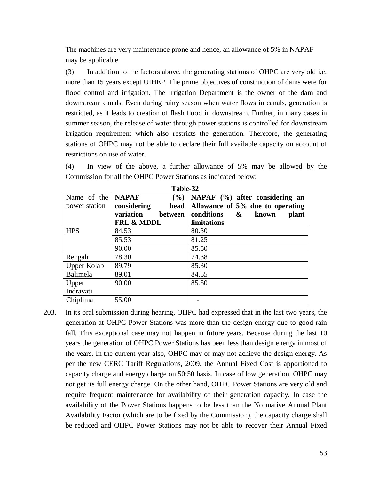The machines are very maintenance prone and hence, an allowance of 5% in NAPAF may be applicable.

(3) In addition to the factors above, the generating stations of OHPC are very old i.e. more than 15 years except UIHEP. The prime objectives of construction of dams were for flood control and irrigation. The Irrigation Department is the owner of the dam and downstream canals. Even during rainy season when water flows in canals, generation is restricted, as it leads to creation of flash flood in downstream. Further, in many cases in summer season, the release of water through power stations is controlled for downstream irrigation requirement which also restricts the generation. Therefore, the generating stations of OHPC may not be able to declare their full available capacity on account of restrictions on use of water.

(4) In view of the above, a further allowance of 5% may be allowed by the Commission for all the OHPC Power Stations as indicated below:

|                    | 1 avic-94                   |                                   |
|--------------------|-----------------------------|-----------------------------------|
| Name of the        | <b>NAPAF</b><br>$(\% )$     | NAPAF $(\%)$ after considering an |
| power station      | considering<br>head         | Allowance of 5% due to operating  |
|                    | variation<br><b>between</b> | conditions<br>&<br>known<br>plant |
|                    | <b>FRL &amp; MDDL</b>       | limitations                       |
| <b>HPS</b>         | 84.53                       | 80.30                             |
|                    | 85.53                       | 81.25                             |
|                    | 90.00                       | 85.50                             |
| Rengali            | 78.30                       | 74.38                             |
| <b>Upper Kolab</b> | 89.79                       | 85.30                             |
| Balimela           | 89.01                       | 84.55                             |
| Upper              | 90.00                       | 85.50                             |
| Indravati          |                             |                                   |
| Chiplima           | 55.00                       |                                   |

**Table-32**

203. In its oral submission during hearing, OHPC had expressed that in the last two years, the generation at OHPC Power Stations was more than the design energy due to good rain fall. This exceptional case may not happen in future years. Because during the last 10 years the generation of OHPC Power Stations has been less than design energy in most of the years. In the current year also, OHPC may or may not achieve the design energy. As per the new CERC Tariff Regulations, 2009, the Annual Fixed Cost is apportioned to capacity charge and energy charge on 50:50 basis. In case of low generation, OHPC may not get its full energy charge. On the other hand, OHPC Power Stations are very old and require frequent maintenance for availability of their generation capacity. In case the availability of the Power Stations happens to be less than the Normative Annual Plant Availability Factor (which are to be fixed by the Commission), the capacity charge shall be reduced and OHPC Power Stations may not be able to recover their Annual Fixed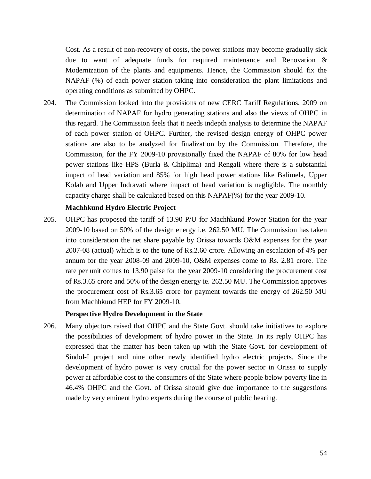Cost. As a result of non-recovery of costs, the power stations may become gradually sick due to want of adequate funds for required maintenance and Renovation & Modernization of the plants and equipments. Hence, the Commission should fix the NAPAF (%) of each power station taking into consideration the plant limitations and operating conditions as submitted by OHPC.

204. The Commission looked into the provisions of new CERC Tariff Regulations, 2009 on determination of NAPAF for hydro generating stations and also the views of OHPC in this regard. The Commission feels that it needs indepth analysis to determine the NAPAF of each power station of OHPC. Further, the revised design energy of OHPC power stations are also to be analyzed for finalization by the Commission. Therefore, the Commission, for the FY 2009-10 provisionally fixed the NAPAF of 80% for low head power stations like HPS (Burla & Chiplima) and Rengali where there is a substantial impact of head variation and 85% for high head power stations like Balimela, Upper Kolab and Upper Indravati where impact of head variation is negligible. The monthly capacity charge shall be calculated based on this NAPAF(%) for the year 2009-10.

#### **Machhkund Hydro Electric Project**

205. OHPC has proposed the tariff of 13.90 P/U for Machhkund Power Station for the year 2009-10 based on 50% of the design energy i.e. 262.50 MU. The Commission has taken into consideration the net share payable by Orissa towards O&M expenses for the year 2007-08 (actual) which is to the tune of Rs.2.60 crore. Allowing an escalation of 4% per annum for the year 2008-09 and 2009-10, O&M expenses come to Rs. 2.81 crore. The rate per unit comes to 13.90 paise for the year 2009-10 considering the procurement cost of Rs.3.65 crore and 50% of the design energy ie. 262.50 MU. The Commission approves the procurement cost of Rs.3.65 crore for payment towards the energy of 262.50 MU from Machhkund HEP for FY 2009-10.

#### **Perspective Hydro Development in the State**

206. Many objectors raised that OHPC and the State Govt. should take initiatives to explore the possibilities of development of hydro power in the State. In its reply OHPC has expressed that the matter has been taken up with the State Govt. for development of Sindol-I project and nine other newly identified hydro electric projects. Since the development of hydro power is very crucial for the power sector in Orissa to supply power at affordable cost to the consumers of the State where people below poverty line in 46.4% OHPC and the Govt. of Orissa should give due importance to the suggestions made by very eminent hydro experts during the course of public hearing.